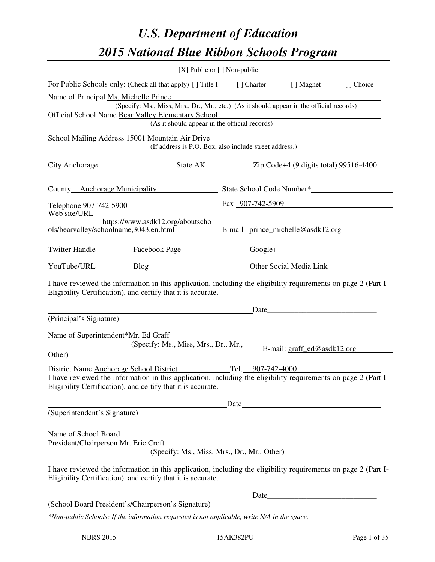# *U.S. Department of Education 2015 National Blue Ribbon Schools Program*

|                                                                                                                                                                                                                                                                  | [X] Public or [] Non-public                            |  |       |                                                                                                                      |           |
|------------------------------------------------------------------------------------------------------------------------------------------------------------------------------------------------------------------------------------------------------------------|--------------------------------------------------------|--|-------|----------------------------------------------------------------------------------------------------------------------|-----------|
| For Public Schools only: (Check all that apply) [] Title I [] Charter [] Magnet                                                                                                                                                                                  |                                                        |  |       |                                                                                                                      | [] Choice |
| Name of Principal Ms. Michelle Prince<br>(Specify: Ms., Miss, Mrs., Dr., Mr., etc.) (As it should appear in the official records)<br>Official School Name Bear Valley Elementary School<br>ey Elementary School<br>(As it should appear in the official records) |                                                        |  |       |                                                                                                                      |           |
| School Mailing Address 15001 Mountain Air Drive                                                                                                                                                                                                                  | (If address is P.O. Box, also include street address.) |  |       |                                                                                                                      |           |
| City Anchorage State AK Zip Code+4 (9 digits total) 99516-4400                                                                                                                                                                                                   |                                                        |  |       |                                                                                                                      |           |
| County Anchorage Municipality State School Code Number*                                                                                                                                                                                                          |                                                        |  |       |                                                                                                                      |           |
| Telephone <u>907-742-5900</u> Fax 907-742-5909                                                                                                                                                                                                                   |                                                        |  |       |                                                                                                                      |           |
| Web site/URL<br>ols/bearvalley/schoolname, 3043, en.html E-mail prince michelle@asdk12.org                                                                                                                                                                       | https://www.asdk12.org/aboutscho                       |  |       |                                                                                                                      |           |
| Twitter Handle ___________ Facebook Page __________________ Google+ ____________                                                                                                                                                                                 |                                                        |  |       |                                                                                                                      |           |
| YouTube/URL Blog Blog Diher Social Media Link                                                                                                                                                                                                                    |                                                        |  |       |                                                                                                                      |           |
| I have reviewed the information in this application, including the eligibility requirements on page 2 (Part I-<br>Eligibility Certification), and certify that it is accurate.                                                                                   |                                                        |  |       |                                                                                                                      |           |
|                                                                                                                                                                                                                                                                  |                                                        |  |       |                                                                                                                      |           |
| (Principal's Signature)                                                                                                                                                                                                                                          |                                                        |  |       |                                                                                                                      |           |
| Name of Superintendent*Mr. Ed Graff<br>Other)                                                                                                                                                                                                                    | (Specify: Ms., Miss, Mrs., Dr., Mr.,                   |  |       | E-mail: $graff\_ed@asdk12.org$                                                                                       |           |
| District Name Anchorage School District Tel. 907-742-4000<br>I have reviewed the information in this application, including the eligibility requirements on page 2 (Part I-<br>Eligibility Certification), and certify that it is accurate.                      |                                                        |  |       |                                                                                                                      |           |
|                                                                                                                                                                                                                                                                  |                                                        |  |       |                                                                                                                      |           |
| (Superintendent's Signature)                                                                                                                                                                                                                                     |                                                        |  |       |                                                                                                                      |           |
| Name of School Board<br>President/Chairperson Mr. Eric Croft                                                                                                                                                                                                     |                                                        |  |       | <u> 1989 - Johann Stein, marwolaethau a bhann an t-Amhain an t-Amhain an t-Amhain an t-Amhain an t-Amhain an t-A</u> |           |
|                                                                                                                                                                                                                                                                  | (Specify: Ms., Miss, Mrs., Dr., Mr., Other)            |  |       |                                                                                                                      |           |
| I have reviewed the information in this application, including the eligibility requirements on page 2 (Part I-<br>Eligibility Certification), and certify that it is accurate.                                                                                   |                                                        |  |       |                                                                                                                      |           |
|                                                                                                                                                                                                                                                                  |                                                        |  | Date_ |                                                                                                                      |           |
| (School Board President's/Chairperson's Signature)                                                                                                                                                                                                               |                                                        |  |       |                                                                                                                      |           |
| *Non-public Schools: If the information requested is not applicable, write N/A in the space.                                                                                                                                                                     |                                                        |  |       |                                                                                                                      |           |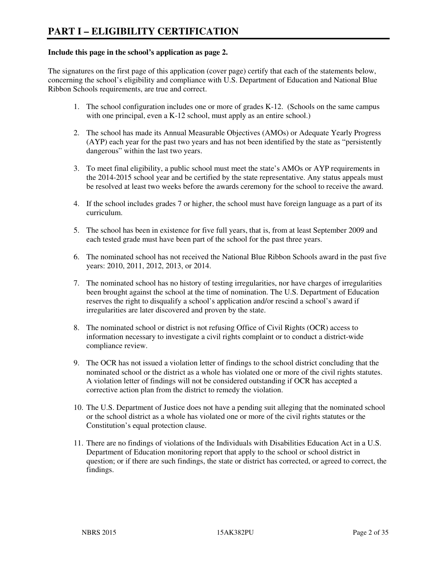#### **Include this page in the school's application as page 2.**

The signatures on the first page of this application (cover page) certify that each of the statements below, concerning the school's eligibility and compliance with U.S. Department of Education and National Blue Ribbon Schools requirements, are true and correct.

- 1. The school configuration includes one or more of grades K-12. (Schools on the same campus with one principal, even a K-12 school, must apply as an entire school.)
- 2. The school has made its Annual Measurable Objectives (AMOs) or Adequate Yearly Progress (AYP) each year for the past two years and has not been identified by the state as "persistently dangerous" within the last two years.
- 3. To meet final eligibility, a public school must meet the state's AMOs or AYP requirements in the 2014-2015 school year and be certified by the state representative. Any status appeals must be resolved at least two weeks before the awards ceremony for the school to receive the award.
- 4. If the school includes grades 7 or higher, the school must have foreign language as a part of its curriculum.
- 5. The school has been in existence for five full years, that is, from at least September 2009 and each tested grade must have been part of the school for the past three years.
- 6. The nominated school has not received the National Blue Ribbon Schools award in the past five years: 2010, 2011, 2012, 2013, or 2014.
- 7. The nominated school has no history of testing irregularities, nor have charges of irregularities been brought against the school at the time of nomination. The U.S. Department of Education reserves the right to disqualify a school's application and/or rescind a school's award if irregularities are later discovered and proven by the state.
- 8. The nominated school or district is not refusing Office of Civil Rights (OCR) access to information necessary to investigate a civil rights complaint or to conduct a district-wide compliance review.
- 9. The OCR has not issued a violation letter of findings to the school district concluding that the nominated school or the district as a whole has violated one or more of the civil rights statutes. A violation letter of findings will not be considered outstanding if OCR has accepted a corrective action plan from the district to remedy the violation.
- 10. The U.S. Department of Justice does not have a pending suit alleging that the nominated school or the school district as a whole has violated one or more of the civil rights statutes or the Constitution's equal protection clause.
- 11. There are no findings of violations of the Individuals with Disabilities Education Act in a U.S. Department of Education monitoring report that apply to the school or school district in question; or if there are such findings, the state or district has corrected, or agreed to correct, the findings.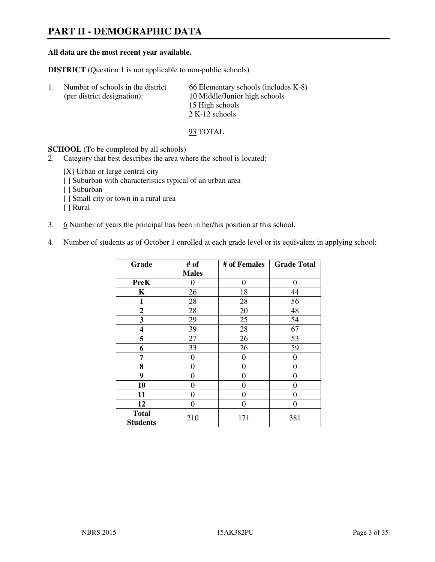# **PART II - DEMOGRAPHIC DATA**

#### **All data are the most recent year available.**

**DISTRICT** (Question 1 is not applicable to non-public schools)

| $\perp$ | Number of schools in the district<br>(per district designation): | 66 Elementary schools (includes K-8)<br>10 Middle/Junior high schools<br>15 High schools<br>2 K-12 schools |
|---------|------------------------------------------------------------------|------------------------------------------------------------------------------------------------------------|
|         |                                                                  |                                                                                                            |

93 TOTAL

**SCHOOL** (To be completed by all schools)

- 2. Category that best describes the area where the school is located:
	- [X] Urban or large central city
	- [ ] Suburban with characteristics typical of an urban area
	- [ ] Suburban
	- [ ] Small city or town in a rural area
	- [ ] Rural
- 3. 6 Number of years the principal has been in her/his position at this school.
- 4. Number of students as of October 1 enrolled at each grade level or its equivalent in applying school:

| Grade                           | # of         | # of Females     | <b>Grade Total</b> |
|---------------------------------|--------------|------------------|--------------------|
|                                 | <b>Males</b> |                  |                    |
| <b>PreK</b>                     | $\theta$     | $\boldsymbol{0}$ | $\theta$           |
| K                               | 26           | 18               | 44                 |
| $\mathbf{1}$                    | 28           | 28               | 56                 |
| $\boldsymbol{2}$                | 28           | 20               | 48                 |
| 3                               | 29           | 25               | 54                 |
| 4                               | 39           | 28               | 67                 |
| 5                               | 27           | 26               | 53                 |
| 6                               | 33           | 26               | 59                 |
| 7                               | 0            | $\boldsymbol{0}$ | 0                  |
| 8                               | 0            | $\overline{0}$   | 0                  |
| 9                               | $\theta$     | $\overline{0}$   | 0                  |
| 10                              | 0            | 0                | 0                  |
| 11                              | 0            | 0                | $\theta$           |
| 12                              | 0            | 0                | 0                  |
| <b>Total</b><br><b>Students</b> | 210          | 171              | 381                |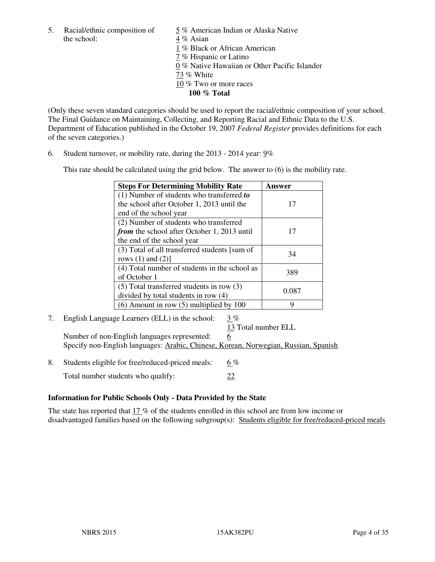5. Racial/ethnic composition of  $\frac{5}{9}$ % American Indian or Alaska Native the school:  $4\%$  Asian

 1 % Black or African American 7 % Hispanic or Latino 0 % Native Hawaiian or Other Pacific Islander 73 % White 10 % Two or more races **100 % Total** 

(Only these seven standard categories should be used to report the racial/ethnic composition of your school. The Final Guidance on Maintaining, Collecting, and Reporting Racial and Ethnic Data to the U.S. Department of Education published in the October 19, 2007 *Federal Register* provides definitions for each of the seven categories.)

6. Student turnover, or mobility rate, during the 2013 - 2014 year: 9%

This rate should be calculated using the grid below. The answer to (6) is the mobility rate.

| <b>Steps For Determining Mobility Rate</b>    | Answer |
|-----------------------------------------------|--------|
| $(1)$ Number of students who transferred to   |        |
| the school after October 1, 2013 until the    | 17     |
| end of the school year                        |        |
| (2) Number of students who transferred        |        |
| from the school after October 1, 2013 until   | 17     |
| the end of the school year                    |        |
| (3) Total of all transferred students [sum of | 34     |
| rows $(1)$ and $(2)$ ]                        |        |
| (4) Total number of students in the school as | 389    |
| of October 1                                  |        |
| $(5)$ Total transferred students in row $(3)$ | 0.087  |
| divided by total students in row (4)          |        |
| $(6)$ Amount in row $(5)$ multiplied by 100   | Q      |

7. English Language Learners (ELL) in the school: 3 %

13 Total number ELL

Number of non-English languages represented: 6 Specify non-English languages: Arabic, Chinese, Korean, Norwegian, Russian, Spanish

8. Students eligible for free/reduced-priced meals:  $6\%$ Total number students who qualify: 22

#### **Information for Public Schools Only - Data Provided by the State**

The state has reported that 17 % of the students enrolled in this school are from low income or disadvantaged families based on the following subgroup(s): Students eligible for free/reduced-priced meals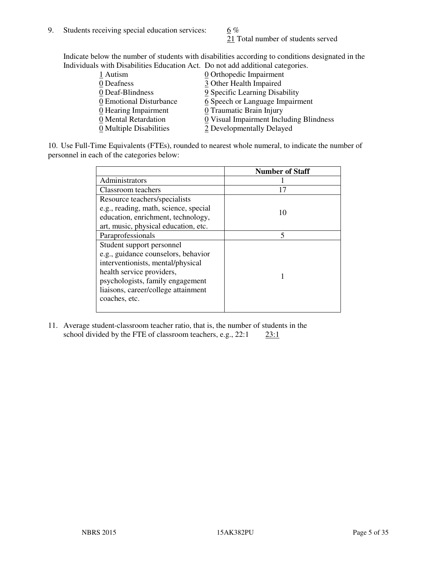21 Total number of students served

Indicate below the number of students with disabilities according to conditions designated in the Individuals with Disabilities Education Act. Do not add additional categories.

| 1 Autism                           | $Q$ Orthopedic Impairment               |
|------------------------------------|-----------------------------------------|
| 0 Deafness                         | 3 Other Health Impaired                 |
| 0 Deaf-Blindness                   | 9 Specific Learning Disability          |
| 0 Emotional Disturbance            | 6 Speech or Language Impairment         |
| $\underline{0}$ Hearing Impairment | 0 Traumatic Brain Injury                |
| 0 Mental Retardation               | 0 Visual Impairment Including Blindness |
| 0 Multiple Disabilities            | 2 Developmentally Delayed               |
|                                    |                                         |

10. Use Full-Time Equivalents (FTEs), rounded to nearest whole numeral, to indicate the number of personnel in each of the categories below:

|                                       | <b>Number of Staff</b> |
|---------------------------------------|------------------------|
| Administrators                        |                        |
| Classroom teachers                    | 17                     |
| Resource teachers/specialists         |                        |
| e.g., reading, math, science, special | 10                     |
| education, enrichment, technology,    |                        |
| art, music, physical education, etc.  |                        |
| Paraprofessionals                     | 5                      |
| Student support personnel             |                        |
| e.g., guidance counselors, behavior   |                        |
| interventionists, mental/physical     |                        |
| health service providers,             |                        |
| psychologists, family engagement      |                        |
| liaisons, career/college attainment   |                        |
| coaches, etc.                         |                        |
|                                       |                        |

11. Average student-classroom teacher ratio, that is, the number of students in the school divided by the FTE of classroom teachers, e.g.,  $22:1$   $23:1$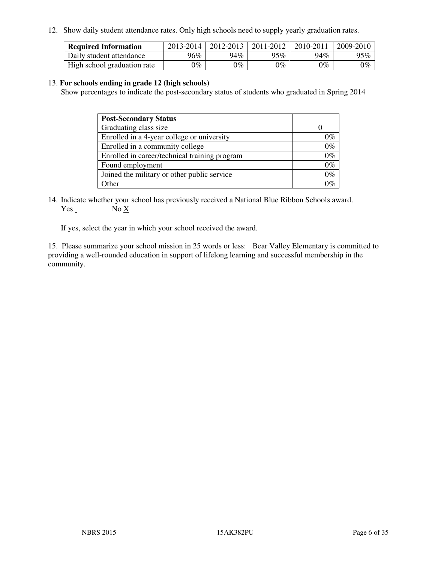12. Show daily student attendance rates. Only high schools need to supply yearly graduation rates.

| <b>Required Information</b> | 2013-2014     | 2012-2013     | 2011-2012 | 2010-2011 | 2009-2010 |
|-----------------------------|---------------|---------------|-----------|-----------|-----------|
| Daily student attendance    | 96%           | 94%           | 95%       | 94%       | 95%       |
| High school graduation rate | $\gamma_{\%}$ | $\gamma_{\%}$ | $0\%$     | 0%        | $0\%$     |

#### 13. **For schools ending in grade 12 (high schools)**

Show percentages to indicate the post-secondary status of students who graduated in Spring 2014

| <b>Post-Secondary Status</b>                  |       |
|-----------------------------------------------|-------|
| Graduating class size                         |       |
| Enrolled in a 4-year college or university    | በ‰    |
| Enrolled in a community college               | $0\%$ |
| Enrolled in career/technical training program | $0\%$ |
| Found employment                              | $0\%$ |
| Joined the military or other public service   | 0%    |
| Other                                         |       |

14. Indicate whether your school has previously received a National Blue Ribbon Schools award. Yes No X

If yes, select the year in which your school received the award.

15. Please summarize your school mission in 25 words or less: Bear Valley Elementary is committed to providing a well-rounded education in support of lifelong learning and successful membership in the community.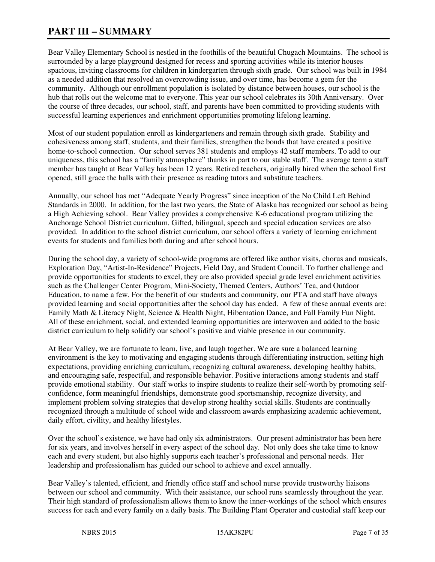# **PART III – SUMMARY**

Bear Valley Elementary School is nestled in the foothills of the beautiful Chugach Mountains. The school is surrounded by a large playground designed for recess and sporting activities while its interior houses spacious, inviting classrooms for children in kindergarten through sixth grade. Our school was built in 1984 as a needed addition that resolved an overcrowding issue, and over time, has become a gem for the community. Although our enrollment population is isolated by distance between houses, our school is the hub that rolls out the welcome mat to everyone. This year our school celebrates its 30th Anniversary. Over the course of three decades, our school, staff, and parents have been committed to providing students with successful learning experiences and enrichment opportunities promoting lifelong learning.

Most of our student population enroll as kindergarteners and remain through sixth grade. Stability and cohesiveness among staff, students, and their families, strengthen the bonds that have created a positive home-to-school connection. Our school serves 381 students and employs 42 staff members. To add to our uniqueness, this school has a "family atmosphere" thanks in part to our stable staff. The average term a staff member has taught at Bear Valley has been 12 years. Retired teachers, originally hired when the school first opened, still grace the halls with their presence as reading tutors and substitute teachers.

Annually, our school has met "Adequate Yearly Progress" since inception of the No Child Left Behind Standards in 2000. In addition, for the last two years, the State of Alaska has recognized our school as being a High Achieving school. Bear Valley provides a comprehensive K-6 educational program utilizing the Anchorage School District curriculum. Gifted, bilingual, speech and special education services are also provided. In addition to the school district curriculum, our school offers a variety of learning enrichment events for students and families both during and after school hours.

During the school day, a variety of school-wide programs are offered like author visits, chorus and musicals, Exploration Day, "Artist-In-Residence" Projects, Field Day, and Student Council. To further challenge and provide opportunities for students to excel, they are also provided special grade level enrichment activities such as the Challenger Center Program, Mini-Society, Themed Centers, Authors' Tea, and Outdoor Education, to name a few. For the benefit of our students and community, our PTA and staff have always provided learning and social opportunities after the school day has ended. A few of these annual events are: Family Math & Literacy Night, Science & Health Night, Hibernation Dance, and Fall Family Fun Night. All of these enrichment, social, and extended learning opportunities are interwoven and added to the basic district curriculum to help solidify our school's positive and viable presence in our community.

At Bear Valley, we are fortunate to learn, live, and laugh together. We are sure a balanced learning environment is the key to motivating and engaging students through differentiating instruction, setting high expectations, providing enriching curriculum, recognizing cultural awareness, developing healthy habits, and encouraging safe, respectful, and responsible behavior. Positive interactions among students and staff provide emotional stability. Our staff works to inspire students to realize their self-worth by promoting selfconfidence, form meaningful friendships, demonstrate good sportsmanship, recognize diversity, and implement problem solving strategies that develop strong healthy social skills. Students are continually recognized through a multitude of school wide and classroom awards emphasizing academic achievement, daily effort, civility, and healthy lifestyles.

Over the school's existence, we have had only six administrators. Our present administrator has been here for six years, and involves herself in every aspect of the school day. Not only does she take time to know each and every student, but also highly supports each teacher's professional and personal needs. Her leadership and professionalism has guided our school to achieve and excel annually.

Bear Valley's talented, efficient, and friendly office staff and school nurse provide trustworthy liaisons between our school and community. With their assistance, our school runs seamlessly throughout the year. Their high standard of professionalism allows them to know the inner-workings of the school which ensures success for each and every family on a daily basis. The Building Plant Operator and custodial staff keep our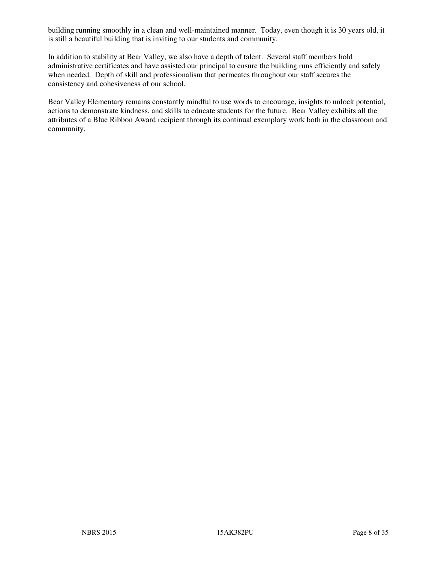building running smoothly in a clean and well-maintained manner. Today, even though it is 30 years old, it is still a beautiful building that is inviting to our students and community.

In addition to stability at Bear Valley, we also have a depth of talent. Several staff members hold administrative certificates and have assisted our principal to ensure the building runs efficiently and safely when needed. Depth of skill and professionalism that permeates throughout our staff secures the consistency and cohesiveness of our school.

Bear Valley Elementary remains constantly mindful to use words to encourage, insights to unlock potential, actions to demonstrate kindness, and skills to educate students for the future. Bear Valley exhibits all the attributes of a Blue Ribbon Award recipient through its continual exemplary work both in the classroom and community.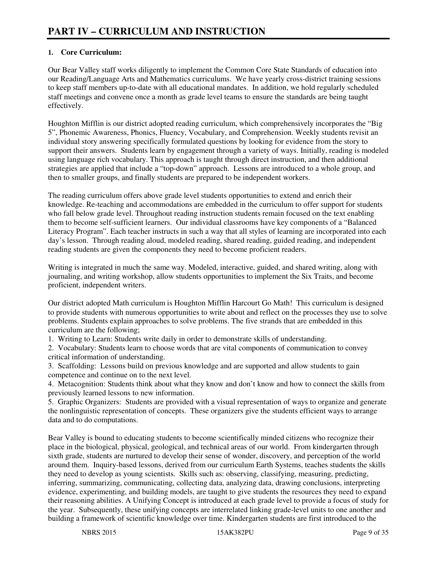#### **1. Core Curriculum:**

Our Bear Valley staff works diligently to implement the Common Core State Standards of education into our Reading/Language Arts and Mathematics curriculums. We have yearly cross-district training sessions to keep staff members up-to-date with all educational mandates. In addition, we hold regularly scheduled staff meetings and convene once a month as grade level teams to ensure the standards are being taught effectively.

Houghton Mifflin is our district adopted reading curriculum, which comprehensively incorporates the "Big 5", Phonemic Awareness, Phonics, Fluency, Vocabulary, and Comprehension. Weekly students revisit an individual story answering specifically formulated questions by looking for evidence from the story to support their answers. Students learn by engagement through a variety of ways. Initially, reading is modeled using language rich vocabulary. This approach is taught through direct instruction, and then additional strategies are applied that include a "top-down" approach. Lessons are introduced to a whole group, and then to smaller groups, and finally students are prepared to be independent workers.

The reading curriculum offers above grade level students opportunities to extend and enrich their knowledge. Re-teaching and accommodations are embedded in the curriculum to offer support for students who fall below grade level. Throughout reading instruction students remain focused on the text enabling them to become self-sufficient learners. Our individual classrooms have key components of a "Balanced Literacy Program". Each teacher instructs in such a way that all styles of learning are incorporated into each day's lesson. Through reading aloud, modeled reading, shared reading, guided reading, and independent reading students are given the components they need to become proficient readers.

Writing is integrated in much the same way. Modeled, interactive, guided, and shared writing, along with journaling, and writing workshop, allow students opportunities to implement the Six Traits, and become proficient, independent writers.

Our district adopted Math curriculum is Houghton Mifflin Harcourt Go Math! This curriculum is designed to provide students with numerous opportunities to write about and reflect on the processes they use to solve problems. Students explain approaches to solve problems. The five strands that are embedded in this curriculum are the following;

1. Writing to Learn: Students write daily in order to demonstrate skills of understanding.

2. Vocabulary: Students learn to choose words that are vital components of communication to convey critical information of understanding.

3. Scaffolding: Lessons build on previous knowledge and are supported and allow students to gain competence and continue on to the next level.

4. Metacognition: Students think about what they know and don't know and how to connect the skills from previously learned lessons to new information.

5. Graphic Organizers: Students are provided with a visual representation of ways to organize and generate the nonlinguistic representation of concepts. These organizers give the students efficient ways to arrange data and to do computations.

Bear Valley is bound to educating students to become scientifically minded citizens who recognize their place in the biological, physical, geological, and technical areas of our world. From kindergarten through sixth grade, students are nurtured to develop their sense of wonder, discovery, and perception of the world around them. Inquiry-based lessons, derived from our curriculum Earth Systems, teaches students the skills they need to develop as young scientists. Skills such as: observing, classifying, measuring, predicting, inferring, summarizing, communicating, collecting data, analyzing data, drawing conclusions, interpreting evidence, experimenting, and building models, are taught to give students the resources they need to expand their reasoning abilities. A Unifying Concept is introduced at each grade level to provide a focus of study for the year. Subsequently, these unifying concepts are interrelated linking grade-level units to one another and building a framework of scientific knowledge over time. Kindergarten students are first introduced to the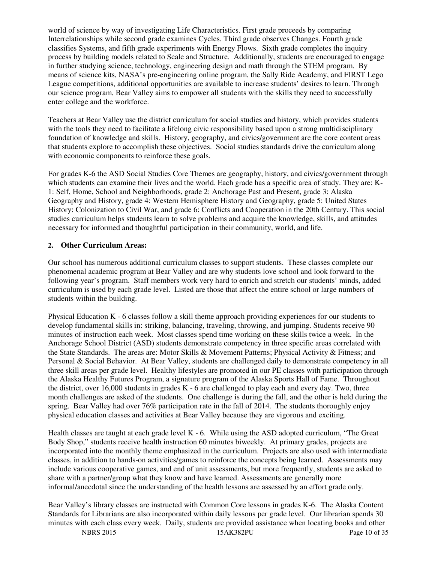world of science by way of investigating Life Characteristics. First grade proceeds by comparing Interrelationships while second grade examines Cycles. Third grade observes Changes. Fourth grade classifies Systems, and fifth grade experiments with Energy Flows. Sixth grade completes the inquiry process by building models related to Scale and Structure. Additionally, students are encouraged to engage in further studying science, technology, engineering design and math through the STEM program. By means of science kits, NASA's pre-engineering online program, the Sally Ride Academy, and FIRST Lego League competitions, additional opportunities are available to increase students' desires to learn. Through our science program, Bear Valley aims to empower all students with the skills they need to successfully enter college and the workforce.

Teachers at Bear Valley use the district curriculum for social studies and history, which provides students with the tools they need to facilitate a lifelong civic responsibility based upon a strong multidisciplinary foundation of knowledge and skills. History, geography, and civics/government are the core content areas that students explore to accomplish these objectives. Social studies standards drive the curriculum along with economic components to reinforce these goals.

For grades K-6 the ASD Social Studies Core Themes are geography, history, and civics/government through which students can examine their lives and the world. Each grade has a specific area of study. They are: K-1: Self, Home, School and Neighborhoods, grade 2: Anchorage Past and Present, grade 3: Alaska Geography and History, grade 4: Western Hemisphere History and Geography, grade 5: United States History: Colonization to Civil War, and grade 6: Conflicts and Cooperation in the 20th Century. This social studies curriculum helps students learn to solve problems and acquire the knowledge, skills, and attitudes necessary for informed and thoughtful participation in their community, world, and life.

#### **2. Other Curriculum Areas:**

Our school has numerous additional curriculum classes to support students. These classes complete our phenomenal academic program at Bear Valley and are why students love school and look forward to the following year's program. Staff members work very hard to enrich and stretch our students' minds, added curriculum is used by each grade level. Listed are those that affect the entire school or large numbers of students within the building.

Physical Education K - 6 classes follow a skill theme approach providing experiences for our students to develop fundamental skills in: striking, balancing, traveling, throwing, and jumping. Students receive 90 minutes of instruction each week. Most classes spend time working on these skills twice a week. In the Anchorage School District (ASD) students demonstrate competency in three specific areas correlated with the State Standards. The areas are: Motor Skills & Movement Patterns; Physical Activity & Fitness; and Personal & Social Behavior. At Bear Valley, students are challenged daily to demonstrate competency in all three skill areas per grade level. Healthy lifestyles are promoted in our PE classes with participation through the Alaska Healthy Futures Program, a signature program of the Alaska Sports Hall of Fame. Throughout the district, over 16,000 students in grades K - 6 are challenged to play each and every day. Two, three month challenges are asked of the students. One challenge is during the fall, and the other is held during the spring. Bear Valley had over 76% participation rate in the fall of 2014. The students thoroughly enjoy physical education classes and activities at Bear Valley because they are vigorous and exciting.

Health classes are taught at each grade level K - 6. While using the ASD adopted curriculum, "The Great Body Shop," students receive health instruction 60 minutes biweekly. At primary grades, projects are incorporated into the monthly theme emphasized in the curriculum. Projects are also used with intermediate classes, in addition to hands-on activities/games to reinforce the concepts being learned. Assessments may include various cooperative games, and end of unit assessments, but more frequently, students are asked to share with a partner/group what they know and have learned. Assessments are generally more informal/anecdotal since the understanding of the health lessons are assessed by an effort grade only.

Bear Valley's library classes are instructed with Common Core lessons in grades K-6. The Alaska Content Standards for Librarians are also incorporated within daily lessons per grade level. Our librarian spends 30 minutes with each class every week. Daily, students are provided assistance when locating books and other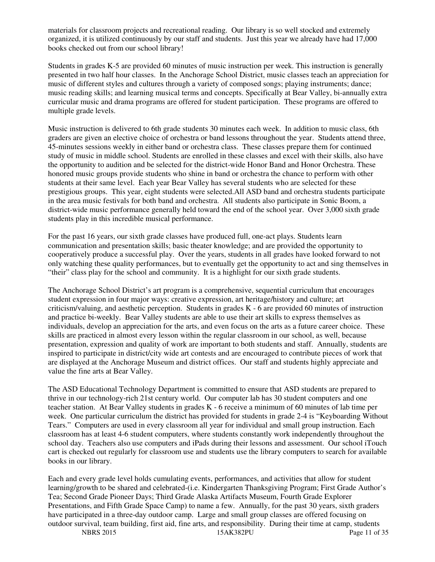materials for classroom projects and recreational reading. Our library is so well stocked and extremely organized, it is utilized continuously by our staff and students. Just this year we already have had 17,000 books checked out from our school library!

Students in grades K-5 are provided 60 minutes of music instruction per week. This instruction is generally presented in two half hour classes. In the Anchorage School District, music classes teach an appreciation for music of different styles and cultures through a variety of composed songs; playing instruments; dance; music reading skills; and learning musical terms and concepts. Specifically at Bear Valley, bi-annually extra curricular music and drama programs are offered for student participation. These programs are offered to multiple grade levels.

Music instruction is delivered to 6th grade students 30 minutes each week. In addition to music class, 6th graders are given an elective choice of orchestra or band lessons throughout the year. Students attend three, 45-minutes sessions weekly in either band or orchestra class. These classes prepare them for continued study of music in middle school. Students are enrolled in these classes and excel with their skills, also have the opportunity to audition and be selected for the district-wide Honor Band and Honor Orchestra. These honored music groups provide students who shine in band or orchestra the chance to perform with other students at their same level. Each year Bear Valley has several students who are selected for these prestigious groups. This year, eight students were selected.All ASD band and orchestra students participate in the area music festivals for both band and orchestra. All students also participate in Sonic Boom, a district-wide music performance generally held toward the end of the school year. Over 3,000 sixth grade students play in this incredible musical performance.

For the past 16 years, our sixth grade classes have produced full, one-act plays. Students learn communication and presentation skills; basic theater knowledge; and are provided the opportunity to cooperatively produce a successful play. Over the years, students in all grades have looked forward to not only watching these quality performances, but to eventually get the opportunity to act and sing themselves in "their" class play for the school and community. It is a highlight for our sixth grade students.

The Anchorage School District's art program is a comprehensive, sequential curriculum that encourages student expression in four major ways: creative expression, art heritage/history and culture; art criticism/valuing, and aesthetic perception. Students in grades K - 6 are provided 60 minutes of instruction and practice bi-weekly. Bear Valley students are able to use their art skills to express themselves as individuals, develop an appreciation for the arts, and even focus on the arts as a future career choice. These skills are practiced in almost every lesson within the regular classroom in our school, as well, because presentation, expression and quality of work are important to both students and staff. Annually, students are inspired to participate in district/city wide art contests and are encouraged to contribute pieces of work that are displayed at the Anchorage Museum and district offices. Our staff and students highly appreciate and value the fine arts at Bear Valley.

The ASD Educational Technology Department is committed to ensure that ASD students are prepared to thrive in our technology-rich 21st century world. Our computer lab has 30 student computers and one teacher station. At Bear Valley students in grades K - 6 receive a minimum of 60 minutes of lab time per week. One particular curriculum the district has provided for students in grade 2-4 is "Keyboarding Without Tears." Computers are used in every classroom all year for individual and small group instruction. Each classroom has at least 4-6 student computers, where students constantly work independently throughout the school day. Teachers also use computers and iPads during their lessons and assessment. Our school iTouch cart is checked out regularly for classroom use and students use the library computers to search for available books in our library.

NBRS 2015 15AK382PU Page 11 of 35 Each and every grade level holds cumulating events, performances, and activities that allow for student learning/growth to be shared and celebrated-(i.e. Kindergarten Thanksgiving Program; First Grade Author's Tea; Second Grade Pioneer Days; Third Grade Alaska Artifacts Museum, Fourth Grade Explorer Presentations, and Fifth Grade Space Camp) to name a few. Annually, for the past 30 years, sixth graders have participated in a three-day outdoor camp. Large and small group classes are offered focusing on outdoor survival, team building, first aid, fine arts, and responsibility. During their time at camp, students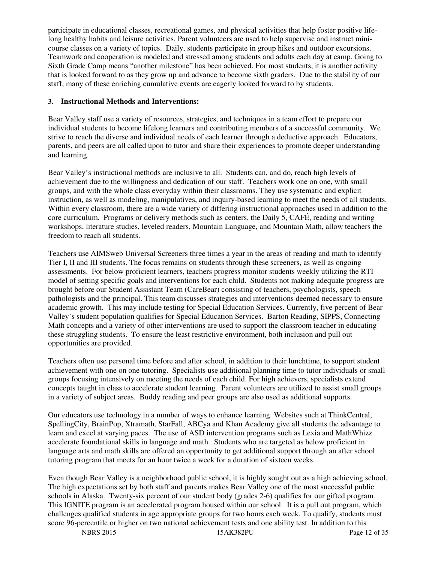participate in educational classes, recreational games, and physical activities that help foster positive lifelong healthy habits and leisure activities. Parent volunteers are used to help supervise and instruct minicourse classes on a variety of topics. Daily, students participate in group hikes and outdoor excursions. Teamwork and cooperation is modeled and stressed among students and adults each day at camp. Going to Sixth Grade Camp means "another milestone" has been achieved. For most students, it is another activity that is looked forward to as they grow up and advance to become sixth graders. Due to the stability of our staff, many of these enriching cumulative events are eagerly looked forward to by students.

#### **3. Instructional Methods and Interventions:**

Bear Valley staff use a variety of resources, strategies, and techniques in a team effort to prepare our individual students to become lifelong learners and contributing members of a successful community. We strive to reach the diverse and individual needs of each learner through a deductive approach. Educators, parents, and peers are all called upon to tutor and share their experiences to promote deeper understanding and learning.

Bear Valley's instructional methods are inclusive to all. Students can, and do, reach high levels of achievement due to the willingness and dedication of our staff. Teachers work one on one, with small groups, and with the whole class everyday within their classrooms. They use systematic and explicit instruction, as well as modeling, manipulatives, and inquiry-based learning to meet the needs of all students. Within every classroom, there are a wide variety of differing instructional approaches used in addition to the core curriculum. Programs or delivery methods such as centers, the Daily 5, CAFÉ, reading and writing workshops, literature studies, leveled readers, Mountain Language, and Mountain Math, allow teachers the freedom to reach all students.

Teachers use AIMSweb Universal Screeners three times a year in the areas of reading and math to identify Tier I, II and III students. The focus remains on students through these screeners, as well as ongoing assessments. For below proficient learners, teachers progress monitor students weekly utilizing the RTI model of setting specific goals and interventions for each child. Students not making adequate progress are brought before our Student Assistant Team (CareBear) consisting of teachers, psychologists, speech pathologists and the principal. This team discusses strategies and interventions deemed necessary to ensure academic growth. This may include testing for Special Education Services. Currently, five percent of Bear Valley's student population qualifies for Special Education Services. Barton Reading, SIPPS, Connecting Math concepts and a variety of other interventions are used to support the classroom teacher in educating these struggling students. To ensure the least restrictive environment, both inclusion and pull out opportunities are provided.

Teachers often use personal time before and after school, in addition to their lunchtime, to support student achievement with one on one tutoring. Specialists use additional planning time to tutor individuals or small groups focusing intensively on meeting the needs of each child. For high achievers, specialists extend concepts taught in class to accelerate student learning. Parent volunteers are utilized to assist small groups in a variety of subject areas. Buddy reading and peer groups are also used as additional supports.

Our educators use technology in a number of ways to enhance learning. Websites such at ThinkCentral, SpellingCity, BrainPop, Xtramath, StarFall, ABCya and Khan Academy give all students the advantage to learn and excel at varying paces. The use of ASD intervention programs such as Lexia and MathWhizz accelerate foundational skills in language and math. Students who are targeted as below proficient in language arts and math skills are offered an opportunity to get additional support through an after school tutoring program that meets for an hour twice a week for a duration of sixteen weeks.

Even though Bear Valley is a neighborhood public school, it is highly sought out as a high achieving school. The high expectations set by both staff and parents makes Bear Valley one of the most successful public schools in Alaska. Twenty-six percent of our student body (grades 2-6) qualifies for our gifted program. This IGNITE program is an accelerated program housed within our school. It is a pull out program, which challenges qualified students in age appropriate groups for two hours each week. To qualify, students must score 96-percentile or higher on two national achievement tests and one ability test. In addition to this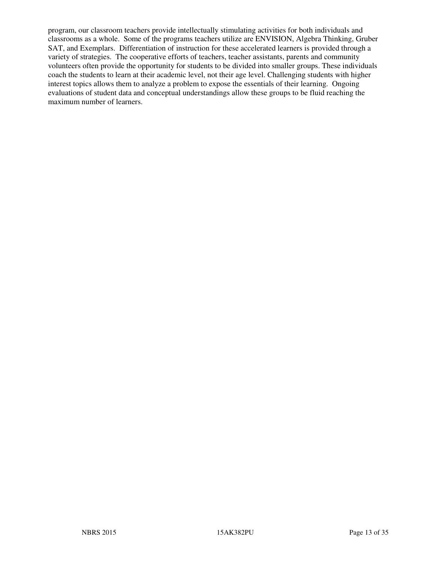program, our classroom teachers provide intellectually stimulating activities for both individuals and classrooms as a whole. Some of the programs teachers utilize are ENVISION, Algebra Thinking, Gruber SAT, and Exemplars. Differentiation of instruction for these accelerated learners is provided through a variety of strategies. The cooperative efforts of teachers, teacher assistants, parents and community volunteers often provide the opportunity for students to be divided into smaller groups. These individuals coach the students to learn at their academic level, not their age level. Challenging students with higher interest topics allows them to analyze a problem to expose the essentials of their learning. Ongoing evaluations of student data and conceptual understandings allow these groups to be fluid reaching the maximum number of learners.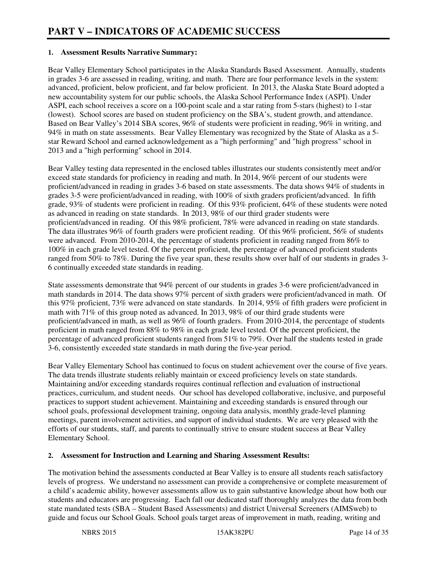#### **1. Assessment Results Narrative Summary:**

Bear Valley Elementary School participates in the Alaska Standards Based Assessment. Annually, students in grades 3-6 are assessed in reading, writing, and math. There are four performance levels in the system: advanced, proficient, below proficient, and far below proficient. In 2013, the Alaska State Board adopted a new accountability system for our public schools, the Alaska School Performance Index (ASPI). Under ASPI, each school receives a score on a 100-point scale and a star rating from 5-stars (highest) to 1-star (lowest). School scores are based on student proficiency on the SBA's, student growth, and attendance. Based on Bear Valley's 2014 SBA scores, 96% of students were proficient in reading, 96% in writing, and 94% in math on state assessments. Bear Valley Elementary was recognized by the State of Alaska as a 5 star Reward School and earned acknowledgement as a "high performing" and "high progress" school in 2013 and a "high performing" school in 2014.

Bear Valley testing data represented in the enclosed tables illustrates our students consistently meet and/or exceed state standards for proficiency in reading and math. In 2014, 96% percent of our students were proficient/advanced in reading in grades 3-6 based on state assessments. The data shows 94% of students in grades 3-5 were proficient/advanced in reading, with 100% of sixth graders proficient/advanced. In fifth grade, 93% of students were proficient in reading. Of this 93% proficient, 64% of these students were noted as advanced in reading on state standards. In 2013, 98% of our third grader students were proficient/advanced in reading. Of this 98% proficient, 78% were advanced in reading on state standards. The data illustrates 96% of fourth graders were proficient reading. Of this 96% proficient, 56% of students were advanced. From 2010-2014, the percentage of students proficient in reading ranged from 86% to 100% in each grade level tested. Of the percent proficient, the percentage of advanced proficient students ranged from 50% to 78%. During the five year span, these results show over half of our students in grades 3- 6 continually exceeded state standards in reading.

State assessments demonstrate that 94% percent of our students in grades 3-6 were proficient/advanced in math standards in 2014. The data shows 97% percent of sixth graders were proficient/advanced in math. Of this 97% proficient, 73% were advanced on state standards. In 2014, 95% of fifth graders were proficient in math with 71% of this group noted as advanced. In 2013, 98% of our third grade students were proficient/advanced in math, as well as 96% of fourth graders. From 2010-2014, the percentage of students proficient in math ranged from 88% to 98% in each grade level tested. Of the percent proficient, the percentage of advanced proficient students ranged from 51% to 79%. Over half the students tested in grade 3-6, consistently exceeded state standards in math during the five-year period.

Bear Valley Elementary School has continued to focus on student achievement over the course of five years. The data trends illustrate students reliably maintain or exceed proficiency levels on state standards. Maintaining and/or exceeding standards requires continual reflection and evaluation of instructional practices, curriculum, and student needs. Our school has developed collaborative, inclusive, and purposeful practices to support student achievement. Maintaining and exceeding standards is ensured through our school goals, professional development training, ongoing data analysis, monthly grade-level planning meetings, parent involvement activities, and support of individual students. We are very pleased with the efforts of our students, staff, and parents to continually strive to ensure student success at Bear Valley Elementary School.

#### **2. Assessment for Instruction and Learning and Sharing Assessment Results:**

The motivation behind the assessments conducted at Bear Valley is to ensure all students reach satisfactory levels of progress. We understand no assessment can provide a comprehensive or complete measurement of a child's academic ability, however assessments allow us to gain substantive knowledge about how both our students and educators are progressing. Each fall our dedicated staff thoroughly analyzes the data from both state mandated tests (SBA – Student Based Assessments) and district Universal Screeners (AIMSweb) to guide and focus our School Goals. School goals target areas of improvement in math, reading, writing and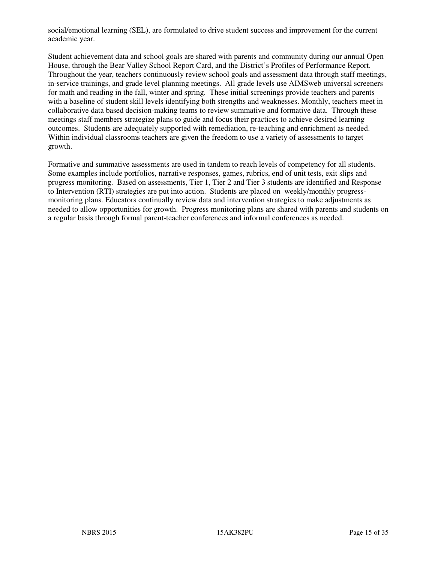social/emotional learning (SEL), are formulated to drive student success and improvement for the current academic year.

Student achievement data and school goals are shared with parents and community during our annual Open House, through the Bear Valley School Report Card, and the District's Profiles of Performance Report. Throughout the year, teachers continuously review school goals and assessment data through staff meetings, in-service trainings, and grade level planning meetings. All grade levels use AIMSweb universal screeners for math and reading in the fall, winter and spring. These initial screenings provide teachers and parents with a baseline of student skill levels identifying both strengths and weaknesses. Monthly, teachers meet in collaborative data based decision-making teams to review summative and formative data. Through these meetings staff members strategize plans to guide and focus their practices to achieve desired learning outcomes. Students are adequately supported with remediation, re-teaching and enrichment as needed. Within individual classrooms teachers are given the freedom to use a variety of assessments to target growth.

Formative and summative assessments are used in tandem to reach levels of competency for all students. Some examples include portfolios, narrative responses, games, rubrics, end of unit tests, exit slips and progress monitoring. Based on assessments, Tier 1, Tier 2 and Tier 3 students are identified and Response to Intervention (RTI) strategies are put into action. Students are placed on weekly/monthly progressmonitoring plans. Educators continually review data and intervention strategies to make adjustments as needed to allow opportunities for growth. Progress monitoring plans are shared with parents and students on a regular basis through formal parent-teacher conferences and informal conferences as needed.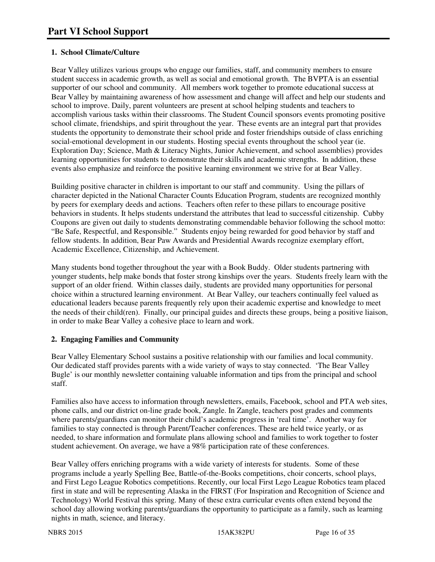#### **1. School Climate/Culture**

Bear Valley utilizes various groups who engage our families, staff, and community members to ensure student success in academic growth, as well as social and emotional growth. The BVPTA is an essential supporter of our school and community. All members work together to promote educational success at Bear Valley by maintaining awareness of how assessment and change will affect and help our students and school to improve. Daily, parent volunteers are present at school helping students and teachers to accomplish various tasks within their classrooms. The Student Council sponsors events promoting positive school climate, friendships, and spirit throughout the year. These events are an integral part that provides students the opportunity to demonstrate their school pride and foster friendships outside of class enriching social-emotional development in our students. Hosting special events throughout the school year (ie. Exploration Day; Science, Math & Literacy Nights, Junior Achievement, and school assemblies) provides learning opportunities for students to demonstrate their skills and academic strengths. In addition, these events also emphasize and reinforce the positive learning environment we strive for at Bear Valley.

Building positive character in children is important to our staff and community. Using the pillars of character depicted in the National Character Counts Education Program, students are recognized monthly by peers for exemplary deeds and actions. Teachers often refer to these pillars to encourage positive behaviors in students. It helps students understand the attributes that lead to successful citizenship. Cubby Coupons are given out daily to students demonstrating commendable behavior following the school motto: "Be Safe, Respectful, and Responsible." Students enjoy being rewarded for good behavior by staff and fellow students. In addition, Bear Paw Awards and Presidential Awards recognize exemplary effort, Academic Excellence, Citizenship, and Achievement.

Many students bond together throughout the year with a Book Buddy. Older students partnering with younger students, help make bonds that foster strong kinships over the years. Students freely learn with the support of an older friend. Within classes daily, students are provided many opportunities for personal choice within a structured learning environment. At Bear Valley, our teachers continually feel valued as educational leaders because parents frequently rely upon their academic expertise and knowledge to meet the needs of their child(ren). Finally, our principal guides and directs these groups, being a positive liaison, in order to make Bear Valley a cohesive place to learn and work.

#### **2. Engaging Families and Community**

Bear Valley Elementary School sustains a positive relationship with our families and local community. Our dedicated staff provides parents with a wide variety of ways to stay connected. 'The Bear Valley Bugle' is our monthly newsletter containing valuable information and tips from the principal and school staff.

Families also have access to information through newsletters, emails, Facebook, school and PTA web sites, phone calls, and our district on-line grade book, Zangle. In Zangle, teachers post grades and comments where parents/guardians can monitor their child's academic progress in 'real time'. Another way for families to stay connected is through Parent/Teacher conferences. These are held twice yearly, or as needed, to share information and formulate plans allowing school and families to work together to foster student achievement. On average, we have a 98% participation rate of these conferences.

Bear Valley offers enriching programs with a wide variety of interests for students. Some of these programs include a yearly Spelling Bee, Battle-of-the-Books competitions, choir concerts, school plays, and First Lego League Robotics competitions. Recently, our local First Lego League Robotics team placed first in state and will be representing Alaska in the FIRST (For Inspiration and Recognition of Science and Technology) World Festival this spring. Many of these extra curricular events often extend beyond the school day allowing working parents/guardians the opportunity to participate as a family, such as learning nights in math, science, and literacy.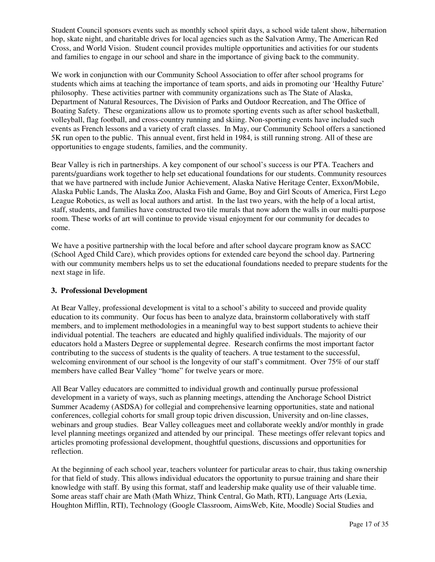Student Council sponsors events such as monthly school spirit days, a school wide talent show, hibernation hop, skate night, and charitable drives for local agencies such as the Salvation Army, The American Red Cross, and World Vision. Student council provides multiple opportunities and activities for our students and families to engage in our school and share in the importance of giving back to the community.

We work in conjunction with our Community School Association to offer after school programs for students which aims at teaching the importance of team sports, and aids in promoting our 'Healthy Future' philosophy. These activities partner with community organizations such as The State of Alaska, Department of Natural Resources, The Division of Parks and Outdoor Recreation, and The Office of Boating Safety. These organizations allow us to promote sporting events such as after school basketball, volleyball, flag football, and cross-country running and skiing. Non-sporting events have included such events as French lessons and a variety of craft classes. In May, our Community School offers a sanctioned 5K run open to the public. This annual event, first held in 1984, is still running strong. All of these are opportunities to engage students, families, and the community.

Bear Valley is rich in partnerships. A key component of our school's success is our PTA. Teachers and parents/guardians work together to help set educational foundations for our students. Community resources that we have partnered with include Junior Achievement, Alaska Native Heritage Center, Exxon/Mobile, Alaska Public Lands, The Alaska Zoo, Alaska Fish and Game, Boy and Girl Scouts of America, First Lego League Robotics, as well as local authors and artist. In the last two years, with the help of a local artist, staff, students, and families have constructed two tile murals that now adorn the walls in our multi-purpose room. These works of art will continue to provide visual enjoyment for our community for decades to come.

We have a positive partnership with the local before and after school daycare program know as SACC (School Aged Child Care), which provides options for extended care beyond the school day. Partnering with our community members helps us to set the educational foundations needed to prepare students for the next stage in life.

#### **3. Professional Development**

At Bear Valley, professional development is vital to a school's ability to succeed and provide quality education to its community. Our focus has been to analyze data, brainstorm collaboratively with staff members, and to implement methodologies in a meaningful way to best support students to achieve their individual potential. The teachers are educated and highly qualified individuals. The majority of our educators hold a Masters Degree or supplemental degree. Research confirms the most important factor contributing to the success of students is the quality of teachers. A true testament to the successful, welcoming environment of our school is the longevity of our staff's commitment. Over 75% of our staff members have called Bear Valley "home" for twelve years or more.

All Bear Valley educators are committed to individual growth and continually pursue professional development in a variety of ways, such as planning meetings, attending the Anchorage School District Summer Academy (ASDSA) for collegial and comprehensive learning opportunities, state and national conferences, collegial cohorts for small group topic driven discussion, University and on-line classes, webinars and group studies. Bear Valley colleagues meet and collaborate weekly and/or monthly in grade level planning meetings organized and attended by our principal. These meetings offer relevant topics and articles promoting professional development, thoughtful questions, discussions and opportunities for reflection.

At the beginning of each school year, teachers volunteer for particular areas to chair, thus taking ownership for that field of study. This allows individual educators the opportunity to pursue training and share their knowledge with staff. By using this format, staff and leadership make quality use of their valuable time. Some areas staff chair are Math (Math Whizz, Think Central, Go Math, RTI), Language Arts (Lexia, Houghton Mifflin, RTI), Technology (Google Classroom, AimsWeb, Kite, Moodle) Social Studies and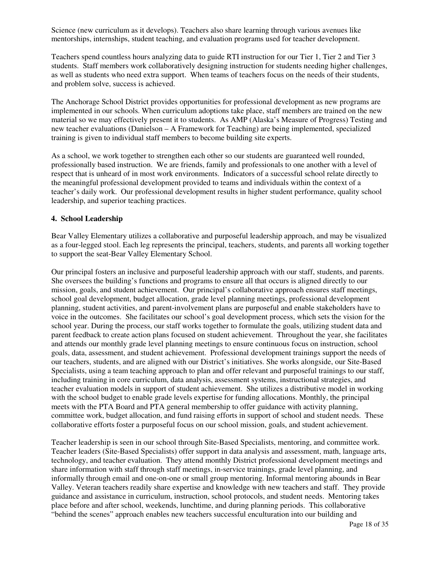Science (new curriculum as it develops). Teachers also share learning through various avenues like mentorships, internships, student teaching, and evaluation programs used for teacher development.

Teachers spend countless hours analyzing data to guide RTI instruction for our Tier 1, Tier 2 and Tier 3 students. Staff members work collaboratively designing instruction for students needing higher challenges, as well as students who need extra support. When teams of teachers focus on the needs of their students, and problem solve, success is achieved.

The Anchorage School District provides opportunities for professional development as new programs are implemented in our schools. When curriculum adoptions take place, staff members are trained on the new material so we may effectively present it to students. As AMP (Alaska's Measure of Progress) Testing and new teacher evaluations (Danielson – A Framework for Teaching) are being implemented, specialized training is given to individual staff members to become building site experts.

As a school, we work together to strengthen each other so our students are guaranteed well rounded, professionally based instruction. We are friends, family and professionals to one another with a level of respect that is unheard of in most work environments. Indicators of a successful school relate directly to the meaningful professional development provided to teams and individuals within the context of a teacher's daily work. Our professional development results in higher student performance, quality school leadership, and superior teaching practices.

#### **4. School Leadership**

Bear Valley Elementary utilizes a collaborative and purposeful leadership approach, and may be visualized as a four-legged stool. Each leg represents the principal, teachers, students, and parents all working together to support the seat-Bear Valley Elementary School.

Our principal fosters an inclusive and purposeful leadership approach with our staff, students, and parents. She oversees the building's functions and programs to ensure all that occurs is aligned directly to our mission, goals, and student achievement. Our principal's collaborative approach ensures staff meetings, school goal development, budget allocation, grade level planning meetings, professional development planning, student activities, and parent-involvement plans are purposeful and enable stakeholders have to voice in the outcomes. She facilitates our school's goal development process, which sets the vision for the school year. During the process, our staff works together to formulate the goals, utilizing student data and parent feedback to create action plans focused on student achievement. Throughout the year, she facilitates and attends our monthly grade level planning meetings to ensure continuous focus on instruction, school goals, data, assessment, and student achievement. Professional development trainings support the needs of our teachers, students, and are aligned with our District's initiatives. She works alongside, our Site-Based Specialists, using a team teaching approach to plan and offer relevant and purposeful trainings to our staff, including training in core curriculum, data analysis, assessment systems, instructional strategies, and teacher evaluation models in support of student achievement. She utilizes a distributive model in working with the school budget to enable grade levels expertise for funding allocations. Monthly, the principal meets with the PTA Board and PTA general membership to offer guidance with activity planning, committee work, budget allocation, and fund raising efforts in support of school and student needs. These collaborative efforts foster a purposeful focus on our school mission, goals, and student achievement.

Teacher leadership is seen in our school through Site-Based Specialists, mentoring, and committee work. Teacher leaders (Site-Based Specialists) offer support in data analysis and assessment, math, language arts, technology, and teacher evaluation. They attend monthly District professional development meetings and share information with staff through staff meetings, in-service trainings, grade level planning, and informally through email and one-on-one or small group mentoring. Informal mentoring abounds in Bear Valley. Veteran teachers readily share expertise and knowledge with new teachers and staff. They provide guidance and assistance in curriculum, instruction, school protocols, and student needs. Mentoring takes place before and after school, weekends, lunchtime, and during planning periods. This collaborative "behind the scenes" approach enables new teachers successful enculturation into our building and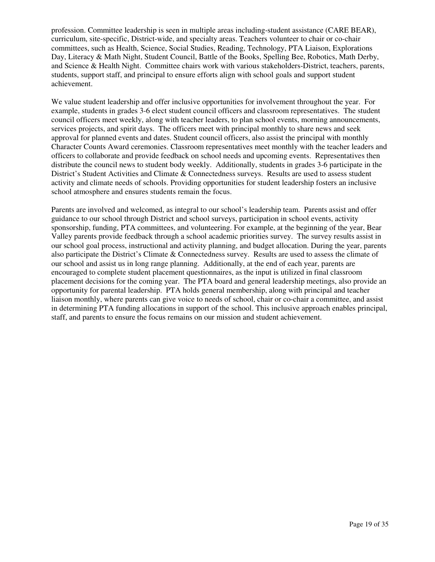profession. Committee leadership is seen in multiple areas including-student assistance (CARE BEAR), curriculum, site-specific, District-wide, and specialty areas. Teachers volunteer to chair or co-chair committees, such as Health, Science, Social Studies, Reading, Technology, PTA Liaison, Explorations Day, Literacy & Math Night, Student Council, Battle of the Books, Spelling Bee, Robotics, Math Derby, and Science & Health Night. Committee chairs work with various stakeholders-District, teachers, parents, students, support staff, and principal to ensure efforts align with school goals and support student achievement.

We value student leadership and offer inclusive opportunities for involvement throughout the year. For example, students in grades 3-6 elect student council officers and classroom representatives. The student council officers meet weekly, along with teacher leaders, to plan school events, morning announcements, services projects, and spirit days. The officers meet with principal monthly to share news and seek approval for planned events and dates. Student council officers, also assist the principal with monthly Character Counts Award ceremonies. Classroom representatives meet monthly with the teacher leaders and officers to collaborate and provide feedback on school needs and upcoming events. Representatives then distribute the council news to student body weekly. Additionally, students in grades 3-6 participate in the District's Student Activities and Climate & Connectedness surveys. Results are used to assess student activity and climate needs of schools. Providing opportunities for student leadership fosters an inclusive school atmosphere and ensures students remain the focus.

Parents are involved and welcomed, as integral to our school's leadership team. Parents assist and offer guidance to our school through District and school surveys, participation in school events, activity sponsorship, funding, PTA committees, and volunteering. For example, at the beginning of the year, Bear Valley parents provide feedback through a school academic priorities survey. The survey results assist in our school goal process, instructional and activity planning, and budget allocation. During the year, parents also participate the District's Climate & Connectedness survey. Results are used to assess the climate of our school and assist us in long range planning. Additionally, at the end of each year, parents are encouraged to complete student placement questionnaires, as the input is utilized in final classroom placement decisions for the coming year. The PTA board and general leadership meetings, also provide an opportunity for parental leadership. PTA holds general membership, along with principal and teacher liaison monthly, where parents can give voice to needs of school, chair or co-chair a committee, and assist in determining PTA funding allocations in support of the school. This inclusive approach enables principal, staff, and parents to ensure the focus remains on our mission and student achievement.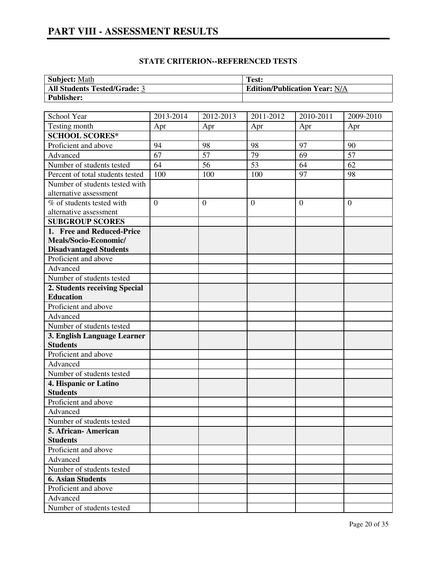# **PART VIII - ASSESSMENT RESULTS**

| <b>Subject: Math</b>                | Test:                                |
|-------------------------------------|--------------------------------------|
| <b>All Students Tested/Grade: 3</b> | <b>Edition/Publication Year: N/A</b> |
| <b>Publisher:</b>                   |                                      |

| School Year                              | 2013-2014      | 2012-2013    | 2011-2012        | 2010-2011      | 2009-2010      |
|------------------------------------------|----------------|--------------|------------------|----------------|----------------|
| Testing month                            | Apr            | Apr          | Apr              | Apr            | Apr            |
| <b>SCHOOL SCORES*</b>                    |                |              |                  |                |                |
| Proficient and above                     | 94             | 98           | 98               | 97             | 90             |
| Advanced                                 | 67             | 57           | 79               | 69             | 57             |
| Number of students tested                | 64             | 56           | 53               | 64             | 62             |
| Percent of total students tested         | 100            | 100          | 100              | 97             | 98             |
| Number of students tested with           |                |              |                  |                |                |
| alternative assessment                   |                |              |                  |                |                |
| % of students tested with                | $\overline{0}$ | $\mathbf{0}$ | $\boldsymbol{0}$ | $\overline{0}$ | $\overline{0}$ |
| alternative assessment                   |                |              |                  |                |                |
| <b>SUBGROUP SCORES</b>                   |                |              |                  |                |                |
| 1. Free and Reduced-Price                |                |              |                  |                |                |
| Meals/Socio-Economic/                    |                |              |                  |                |                |
| <b>Disadvantaged Students</b>            |                |              |                  |                |                |
| Proficient and above                     |                |              |                  |                |                |
| Advanced                                 |                |              |                  |                |                |
| Number of students tested                |                |              |                  |                |                |
| 2. Students receiving Special            |                |              |                  |                |                |
| <b>Education</b>                         |                |              |                  |                |                |
| Proficient and above                     |                |              |                  |                |                |
| Advanced                                 |                |              |                  |                |                |
| Number of students tested                |                |              |                  |                |                |
| 3. English Language Learner              |                |              |                  |                |                |
| <b>Students</b><br>Proficient and above  |                |              |                  |                |                |
| Advanced                                 |                |              |                  |                |                |
| Number of students tested                |                |              |                  |                |                |
|                                          |                |              |                  |                |                |
| 4. Hispanic or Latino<br><b>Students</b> |                |              |                  |                |                |
| Proficient and above                     |                |              |                  |                |                |
| Advanced                                 |                |              |                  |                |                |
| Number of students tested                |                |              |                  |                |                |
| 5. African-American                      |                |              |                  |                |                |
| <b>Students</b>                          |                |              |                  |                |                |
| Proficient and above                     |                |              |                  |                |                |
| Advanced                                 |                |              |                  |                |                |
| Number of students tested                |                |              |                  |                |                |
| <b>6. Asian Students</b>                 |                |              |                  |                |                |
| Proficient and above                     |                |              |                  |                |                |
| Advanced                                 |                |              |                  |                |                |
| Number of students tested                |                |              |                  |                |                |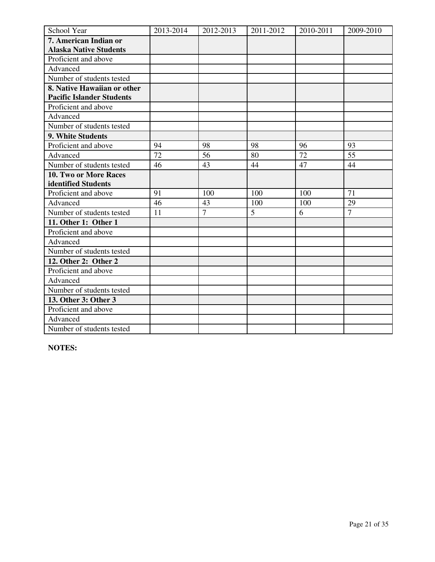| School Year                      | 2013-2014 | 2012-2013      | 2011-2012 | 2010-2011 | 2009-2010      |
|----------------------------------|-----------|----------------|-----------|-----------|----------------|
| 7. American Indian or            |           |                |           |           |                |
| <b>Alaska Native Students</b>    |           |                |           |           |                |
| Proficient and above             |           |                |           |           |                |
| Advanced                         |           |                |           |           |                |
| Number of students tested        |           |                |           |           |                |
| 8. Native Hawaiian or other      |           |                |           |           |                |
| <b>Pacific Islander Students</b> |           |                |           |           |                |
| Proficient and above             |           |                |           |           |                |
| Advanced                         |           |                |           |           |                |
| Number of students tested        |           |                |           |           |                |
| 9. White Students                |           |                |           |           |                |
| Proficient and above             | 94        | 98             | 98        | 96        | 93             |
| Advanced                         | 72        | 56             | 80        | 72        | 55             |
| Number of students tested        | 46        | 43             | 44        | 47        | 44             |
| 10. Two or More Races            |           |                |           |           |                |
| identified Students              |           |                |           |           |                |
| Proficient and above             | 91        | 100            | 100       | 100       | 71             |
| Advanced                         | 46        | 43             | 100       | 100       | 29             |
| Number of students tested        | 11        | $\overline{7}$ | 5         | 6         | $\overline{7}$ |
| 11. Other 1: Other 1             |           |                |           |           |                |
| Proficient and above             |           |                |           |           |                |
| Advanced                         |           |                |           |           |                |
| Number of students tested        |           |                |           |           |                |
| 12. Other 2: Other 2             |           |                |           |           |                |
| Proficient and above             |           |                |           |           |                |
| Advanced                         |           |                |           |           |                |
| Number of students tested        |           |                |           |           |                |
| 13. Other 3: Other 3             |           |                |           |           |                |
| Proficient and above             |           |                |           |           |                |
| Advanced                         |           |                |           |           |                |
| Number of students tested        |           |                |           |           |                |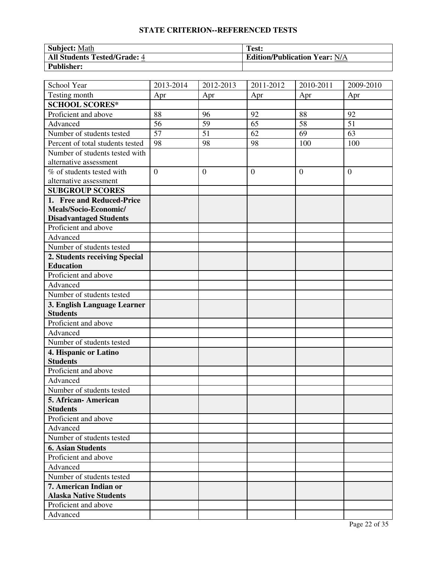| <b>Subject: Math</b>                | Test:                                |
|-------------------------------------|--------------------------------------|
| <b>All Students Tested/Grade: 4</b> | <b>Edition/Publication Year: N/A</b> |
| <b>Publisher:</b>                   |                                      |

| School Year                      | 2013-2014       | 2012-2013    | 2011-2012      | 2010-2011      | 2009-2010      |
|----------------------------------|-----------------|--------------|----------------|----------------|----------------|
| Testing month                    | Apr             | Apr          | Apr            | Apr            | Apr            |
| <b>SCHOOL SCORES*</b>            |                 |              |                |                |                |
| Proficient and above             | 88              | 96           | 92             | 88             | 92             |
| Advanced                         | 56              | 59           | 65             | 58             | 51             |
| Number of students tested        | $\overline{57}$ | 51           | 62             | 69             | 63             |
| Percent of total students tested | 98              | 98           | 98             | 100            | 100            |
| Number of students tested with   |                 |              |                |                |                |
| alternative assessment           |                 |              |                |                |                |
| % of students tested with        | $\overline{0}$  | $\mathbf{0}$ | $\overline{0}$ | $\overline{0}$ | $\overline{0}$ |
| alternative assessment           |                 |              |                |                |                |
| <b>SUBGROUP SCORES</b>           |                 |              |                |                |                |
| 1. Free and Reduced-Price        |                 |              |                |                |                |
| Meals/Socio-Economic/            |                 |              |                |                |                |
| <b>Disadvantaged Students</b>    |                 |              |                |                |                |
| Proficient and above             |                 |              |                |                |                |
| Advanced                         |                 |              |                |                |                |
| Number of students tested        |                 |              |                |                |                |
| 2. Students receiving Special    |                 |              |                |                |                |
| <b>Education</b>                 |                 |              |                |                |                |
| Proficient and above             |                 |              |                |                |                |
| Advanced                         |                 |              |                |                |                |
| Number of students tested        |                 |              |                |                |                |
| 3. English Language Learner      |                 |              |                |                |                |
| <b>Students</b>                  |                 |              |                |                |                |
| Proficient and above             |                 |              |                |                |                |
| Advanced                         |                 |              |                |                |                |
| Number of students tested        |                 |              |                |                |                |
| 4. Hispanic or Latino            |                 |              |                |                |                |
| <b>Students</b>                  |                 |              |                |                |                |
| Proficient and above             |                 |              |                |                |                |
| Advanced                         |                 |              |                |                |                |
| Number of students tested        |                 |              |                |                |                |
| 5. African-American              |                 |              |                |                |                |
| <b>Students</b>                  |                 |              |                |                |                |
| Proficient and above             |                 |              |                |                |                |
| Advanced                         |                 |              |                |                |                |
| Number of students tested        |                 |              |                |                |                |
| <b>6. Asian Students</b>         |                 |              |                |                |                |
| Proficient and above             |                 |              |                |                |                |
| Advanced                         |                 |              |                |                |                |
| Number of students tested        |                 |              |                |                |                |
| 7. American Indian or            |                 |              |                |                |                |
| <b>Alaska Native Students</b>    |                 |              |                |                |                |
| Proficient and above             |                 |              |                |                |                |
| Advanced                         |                 |              |                |                |                |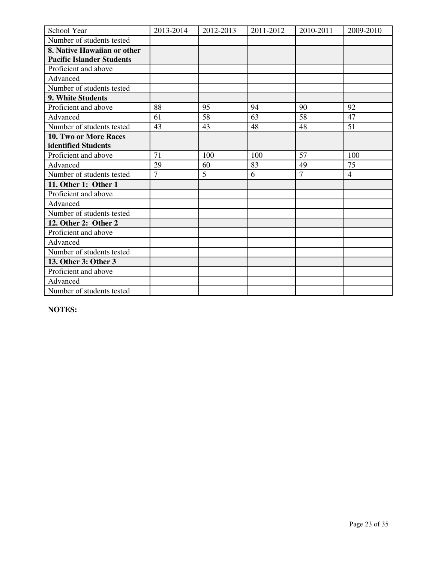| School Year                      | 2013-2014      | 2012-2013 | 2011-2012 | 2010-2011      | 2009-2010      |
|----------------------------------|----------------|-----------|-----------|----------------|----------------|
| Number of students tested        |                |           |           |                |                |
| 8. Native Hawaiian or other      |                |           |           |                |                |
| <b>Pacific Islander Students</b> |                |           |           |                |                |
| Proficient and above             |                |           |           |                |                |
| Advanced                         |                |           |           |                |                |
| Number of students tested        |                |           |           |                |                |
| 9. White Students                |                |           |           |                |                |
| Proficient and above             | 88             | 95        | 94        | 90             | 92             |
| Advanced                         | 61             | 58        | 63        | 58             | 47             |
| Number of students tested        | 43             | 43        | 48        | 48             | 51             |
| 10. Two or More Races            |                |           |           |                |                |
| identified Students              |                |           |           |                |                |
| Proficient and above             | 71             | 100       | 100       | 57             | 100            |
| Advanced                         | 29             | 60        | 83        | 49             | 75             |
| Number of students tested        | $\overline{7}$ | 5         | 6         | $\overline{7}$ | $\overline{4}$ |
| 11. Other 1: Other 1             |                |           |           |                |                |
| Proficient and above             |                |           |           |                |                |
| Advanced                         |                |           |           |                |                |
| Number of students tested        |                |           |           |                |                |
| 12. Other 2: Other 2             |                |           |           |                |                |
| Proficient and above             |                |           |           |                |                |
| Advanced                         |                |           |           |                |                |
| Number of students tested        |                |           |           |                |                |
| 13. Other 3: Other 3             |                |           |           |                |                |
| Proficient and above             |                |           |           |                |                |
| Advanced                         |                |           |           |                |                |
| Number of students tested        |                |           |           |                |                |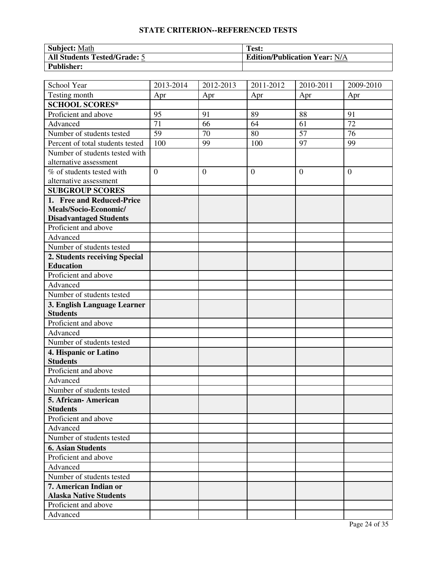| <b>Subject: Math</b>         | Test:                                |
|------------------------------|--------------------------------------|
| All Students Tested/Grade: 5 | <b>Edition/Publication Year: N/A</b> |
| <b>Publisher:</b>            |                                      |

| School Year                      | $\overline{20}$ 13-2014 | 2012-2013      | 2011-2012      | 2010-2011       | 2009-2010      |
|----------------------------------|-------------------------|----------------|----------------|-----------------|----------------|
| Testing month                    | Apr                     | Apr            | Apr            | Apr             | Apr            |
| <b>SCHOOL SCORES*</b>            |                         |                |                |                 |                |
| Proficient and above             | 95                      | 91             | 89             | 88              | 91             |
| Advanced                         | 71                      | 66             | 64             | 61              | 72             |
| Number of students tested        | 59                      | 70             | 80             | $\overline{57}$ | 76             |
| Percent of total students tested | 100                     | 99             | 100            | 97              | 99             |
| Number of students tested with   |                         |                |                |                 |                |
| alternative assessment           |                         |                |                |                 |                |
| % of students tested with        | $\overline{0}$          | $\overline{0}$ | $\overline{0}$ | $\overline{0}$  | $\overline{0}$ |
| alternative assessment           |                         |                |                |                 |                |
| <b>SUBGROUP SCORES</b>           |                         |                |                |                 |                |
| 1. Free and Reduced-Price        |                         |                |                |                 |                |
| Meals/Socio-Economic/            |                         |                |                |                 |                |
| <b>Disadvantaged Students</b>    |                         |                |                |                 |                |
| Proficient and above             |                         |                |                |                 |                |
| Advanced                         |                         |                |                |                 |                |
| Number of students tested        |                         |                |                |                 |                |
| 2. Students receiving Special    |                         |                |                |                 |                |
| <b>Education</b>                 |                         |                |                |                 |                |
| Proficient and above             |                         |                |                |                 |                |
| Advanced                         |                         |                |                |                 |                |
| Number of students tested        |                         |                |                |                 |                |
| 3. English Language Learner      |                         |                |                |                 |                |
| <b>Students</b>                  |                         |                |                |                 |                |
| Proficient and above             |                         |                |                |                 |                |
| Advanced                         |                         |                |                |                 |                |
| Number of students tested        |                         |                |                |                 |                |
| 4. Hispanic or Latino            |                         |                |                |                 |                |
| <b>Students</b>                  |                         |                |                |                 |                |
| Proficient and above             |                         |                |                |                 |                |
| Advanced                         |                         |                |                |                 |                |
| Number of students tested        |                         |                |                |                 |                |
| 5. African- American             |                         |                |                |                 |                |
| <b>Students</b>                  |                         |                |                |                 |                |
| Proficient and above             |                         |                |                |                 |                |
| Advanced                         |                         |                |                |                 |                |
| Number of students tested        |                         |                |                |                 |                |
| <b>6. Asian Students</b>         |                         |                |                |                 |                |
| Proficient and above             |                         |                |                |                 |                |
| Advanced                         |                         |                |                |                 |                |
| Number of students tested        |                         |                |                |                 |                |
| 7. American Indian or            |                         |                |                |                 |                |
| <b>Alaska Native Students</b>    |                         |                |                |                 |                |
| Proficient and above             |                         |                |                |                 |                |
| Advanced                         |                         |                |                |                 |                |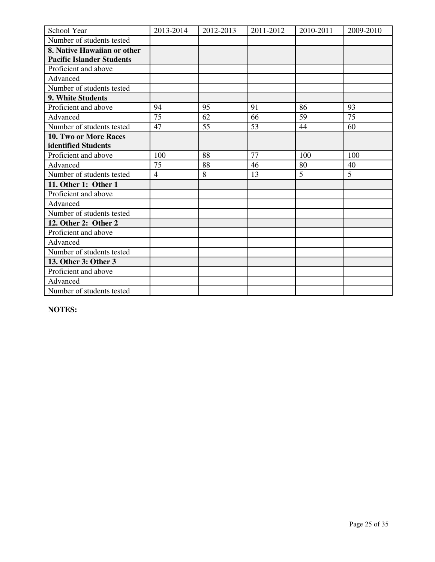| School Year                      | 2013-2014      | 2012-2013 | 2011-2012 | 2010-2011 | 2009-2010 |
|----------------------------------|----------------|-----------|-----------|-----------|-----------|
| Number of students tested        |                |           |           |           |           |
| 8. Native Hawaiian or other      |                |           |           |           |           |
| <b>Pacific Islander Students</b> |                |           |           |           |           |
| Proficient and above             |                |           |           |           |           |
| Advanced                         |                |           |           |           |           |
| Number of students tested        |                |           |           |           |           |
| 9. White Students                |                |           |           |           |           |
| Proficient and above             | 94             | 95        | 91        | 86        | 93        |
| Advanced                         | 75             | 62        | 66        | 59        | 75        |
| Number of students tested        | 47             | 55        | 53        | 44        | 60        |
| 10. Two or More Races            |                |           |           |           |           |
| identified Students              |                |           |           |           |           |
| Proficient and above             | 100            | 88        | 77        | 100       | 100       |
| Advanced                         | 75             | 88        | 46        | 80        | 40        |
| Number of students tested        | $\overline{4}$ | 8         | 13        | 5         | 5         |
| 11. Other 1: Other 1             |                |           |           |           |           |
| Proficient and above             |                |           |           |           |           |
| Advanced                         |                |           |           |           |           |
| Number of students tested        |                |           |           |           |           |
| 12. Other 2: Other 2             |                |           |           |           |           |
| Proficient and above             |                |           |           |           |           |
| Advanced                         |                |           |           |           |           |
| Number of students tested        |                |           |           |           |           |
| 13. Other 3: Other 3             |                |           |           |           |           |
| Proficient and above             |                |           |           |           |           |
| Advanced                         |                |           |           |           |           |
| Number of students tested        |                |           |           |           |           |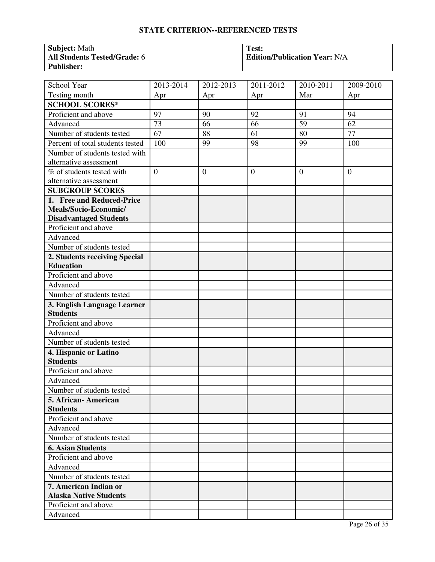| <b>Subject:</b> Math                | Test:                                |
|-------------------------------------|--------------------------------------|
| <b>All Students Tested/Grade: 6</b> | <b>Edition/Publication Year: N/A</b> |
| <b>Publisher:</b>                   |                                      |

| School Year                      | $\overline{20}$ 13-2014 | 2012-2013      | 2011-2012      | 2010-2011      | 2009-2010    |
|----------------------------------|-------------------------|----------------|----------------|----------------|--------------|
| Testing month                    | Apr                     | Apr            | Apr            | Mar            | Apr          |
| <b>SCHOOL SCORES*</b>            |                         |                |                |                |              |
| Proficient and above             | 97                      | 90             | 92             | 91             | 94           |
| Advanced                         | 73                      | 66             | 66             | 59             | 62           |
| Number of students tested        | 67                      | 88             | 61             | 80             | 77           |
| Percent of total students tested | 100                     | 99             | 98             | 99             | 100          |
| Number of students tested with   |                         |                |                |                |              |
| alternative assessment           |                         |                |                |                |              |
| % of students tested with        | $\overline{0}$          | $\overline{0}$ | $\overline{0}$ | $\overline{0}$ | $\mathbf{0}$ |
| alternative assessment           |                         |                |                |                |              |
| <b>SUBGROUP SCORES</b>           |                         |                |                |                |              |
| 1. Free and Reduced-Price        |                         |                |                |                |              |
| Meals/Socio-Economic/            |                         |                |                |                |              |
| <b>Disadvantaged Students</b>    |                         |                |                |                |              |
| Proficient and above             |                         |                |                |                |              |
| Advanced                         |                         |                |                |                |              |
| Number of students tested        |                         |                |                |                |              |
| 2. Students receiving Special    |                         |                |                |                |              |
| <b>Education</b>                 |                         |                |                |                |              |
| Proficient and above             |                         |                |                |                |              |
| Advanced                         |                         |                |                |                |              |
| Number of students tested        |                         |                |                |                |              |
| 3. English Language Learner      |                         |                |                |                |              |
| <b>Students</b>                  |                         |                |                |                |              |
| Proficient and above             |                         |                |                |                |              |
| Advanced                         |                         |                |                |                |              |
| Number of students tested        |                         |                |                |                |              |
| 4. Hispanic or Latino            |                         |                |                |                |              |
| <b>Students</b>                  |                         |                |                |                |              |
| Proficient and above             |                         |                |                |                |              |
| Advanced                         |                         |                |                |                |              |
| Number of students tested        |                         |                |                |                |              |
| 5. African- American             |                         |                |                |                |              |
| <b>Students</b>                  |                         |                |                |                |              |
| Proficient and above             |                         |                |                |                |              |
| Advanced                         |                         |                |                |                |              |
| Number of students tested        |                         |                |                |                |              |
| <b>6. Asian Students</b>         |                         |                |                |                |              |
| Proficient and above             |                         |                |                |                |              |
| Advanced                         |                         |                |                |                |              |
| Number of students tested        |                         |                |                |                |              |
| 7. American Indian or            |                         |                |                |                |              |
| <b>Alaska Native Students</b>    |                         |                |                |                |              |
| Proficient and above             |                         |                |                |                |              |
| Advanced                         |                         |                |                |                |              |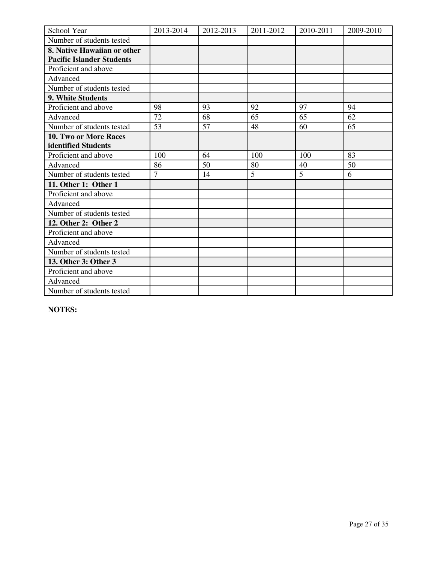| School Year                      | 2013-2014      | 2012-2013 | 2011-2012 | 2010-2011 | 2009-2010 |
|----------------------------------|----------------|-----------|-----------|-----------|-----------|
| Number of students tested        |                |           |           |           |           |
| 8. Native Hawaiian or other      |                |           |           |           |           |
| <b>Pacific Islander Students</b> |                |           |           |           |           |
| Proficient and above             |                |           |           |           |           |
| Advanced                         |                |           |           |           |           |
| Number of students tested        |                |           |           |           |           |
| 9. White Students                |                |           |           |           |           |
| Proficient and above             | 98             | 93        | 92        | 97        | 94        |
| Advanced                         | 72             | 68        | 65        | 65        | 62        |
| Number of students tested        | 53             | 57        | 48        | 60        | 65        |
| 10. Two or More Races            |                |           |           |           |           |
| identified Students              |                |           |           |           |           |
| Proficient and above             | 100            | 64        | 100       | 100       | 83        |
| Advanced                         | 86             | 50        | 80        | 40        | 50        |
| Number of students tested        | $\overline{7}$ | 14        | 5         | 5         | 6         |
| 11. Other 1: Other 1             |                |           |           |           |           |
| Proficient and above             |                |           |           |           |           |
| Advanced                         |                |           |           |           |           |
| Number of students tested        |                |           |           |           |           |
| 12. Other 2: Other 2             |                |           |           |           |           |
| Proficient and above             |                |           |           |           |           |
| Advanced                         |                |           |           |           |           |
| Number of students tested        |                |           |           |           |           |
| 13. Other 3: Other 3             |                |           |           |           |           |
| Proficient and above             |                |           |           |           |           |
| Advanced                         |                |           |           |           |           |
| Number of students tested        |                |           |           |           |           |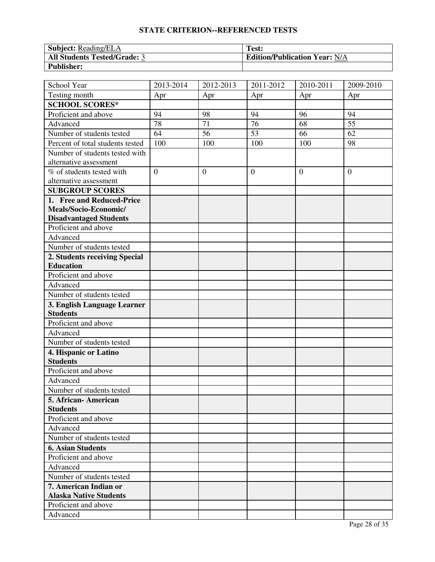| <b>Subject:</b> Reading/ELA         | Test:                                |
|-------------------------------------|--------------------------------------|
| <b>All Students Tested/Grade: 3</b> | <b>Edition/Publication Year: N/A</b> |
| <b>Publisher:</b>                   |                                      |

| School Year                      | 2013-2014      | 2012-2013 | 2011-2012      | $\overline{2010}$ -2011 | 2009-2010      |
|----------------------------------|----------------|-----------|----------------|-------------------------|----------------|
| Testing month                    | Apr            | Apr       | Apr            | Apr                     | Apr            |
| <b>SCHOOL SCORES*</b>            |                |           |                |                         |                |
| Proficient and above             | 94             | 98        | 94             | 96                      | 94             |
| Advanced                         | 78             | 71        | 76             | 68                      | 55             |
| Number of students tested        | 64             | 56        | 53             | 66                      | 62             |
| Percent of total students tested | 100            | 100       | 100            | 100                     | 98             |
| Number of students tested with   |                |           |                |                         |                |
| alternative assessment           |                |           |                |                         |                |
| % of students tested with        | $\overline{0}$ | $\theta$  | $\overline{0}$ | $\theta$                | $\overline{0}$ |
| alternative assessment           |                |           |                |                         |                |
| <b>SUBGROUP SCORES</b>           |                |           |                |                         |                |
| 1. Free and Reduced-Price        |                |           |                |                         |                |
| Meals/Socio-Economic/            |                |           |                |                         |                |
| <b>Disadvantaged Students</b>    |                |           |                |                         |                |
| Proficient and above             |                |           |                |                         |                |
| Advanced                         |                |           |                |                         |                |
| Number of students tested        |                |           |                |                         |                |
| 2. Students receiving Special    |                |           |                |                         |                |
| <b>Education</b>                 |                |           |                |                         |                |
| Proficient and above             |                |           |                |                         |                |
| Advanced                         |                |           |                |                         |                |
| Number of students tested        |                |           |                |                         |                |
| 3. English Language Learner      |                |           |                |                         |                |
| <b>Students</b>                  |                |           |                |                         |                |
| Proficient and above             |                |           |                |                         |                |
| Advanced                         |                |           |                |                         |                |
| Number of students tested        |                |           |                |                         |                |
| 4. Hispanic or Latino            |                |           |                |                         |                |
| <b>Students</b>                  |                |           |                |                         |                |
| Proficient and above             |                |           |                |                         |                |
| Advanced                         |                |           |                |                         |                |
| Number of students tested        |                |           |                |                         |                |
| 5. African- American             |                |           |                |                         |                |
| <b>Students</b>                  |                |           |                |                         |                |
| Proficient and above             |                |           |                |                         |                |
| Advanced                         |                |           |                |                         |                |
| Number of students tested        |                |           |                |                         |                |
| <b>6. Asian Students</b>         |                |           |                |                         |                |
| Proficient and above             |                |           |                |                         |                |
| Advanced                         |                |           |                |                         |                |
| Number of students tested        |                |           |                |                         |                |
| 7. American Indian or            |                |           |                |                         |                |
| <b>Alaska Native Students</b>    |                |           |                |                         |                |
| Proficient and above             |                |           |                |                         |                |
| Advanced                         |                |           |                |                         |                |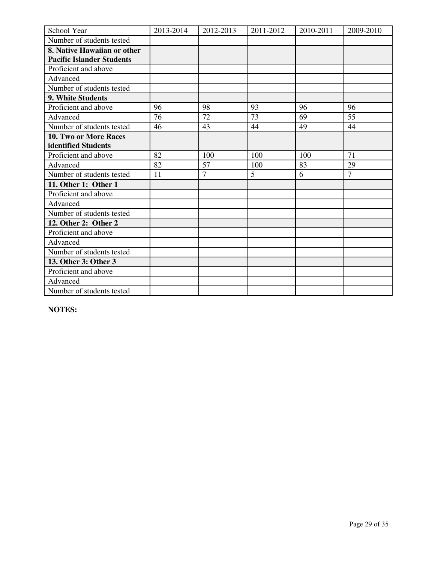| School Year                      | 2013-2014 | 2012-2013      | 2011-2012 | 2010-2011 | 2009-2010      |
|----------------------------------|-----------|----------------|-----------|-----------|----------------|
| Number of students tested        |           |                |           |           |                |
| 8. Native Hawaiian or other      |           |                |           |           |                |
| <b>Pacific Islander Students</b> |           |                |           |           |                |
| Proficient and above             |           |                |           |           |                |
| Advanced                         |           |                |           |           |                |
| Number of students tested        |           |                |           |           |                |
| 9. White Students                |           |                |           |           |                |
| Proficient and above             | 96        | 98             | 93        | 96        | 96             |
| Advanced                         | 76        | 72             | 73        | 69        | 55             |
| Number of students tested        | 46        | 43             | 44        | 49        | 44             |
| 10. Two or More Races            |           |                |           |           |                |
| identified Students              |           |                |           |           |                |
| Proficient and above             | 82        | 100            | 100       | 100       | 71             |
| Advanced                         | 82        | 57             | 100       | 83        | 29             |
| Number of students tested        | 11        | $\overline{7}$ | 5         | 6         | $\overline{7}$ |
| 11. Other 1: Other 1             |           |                |           |           |                |
| Proficient and above             |           |                |           |           |                |
| Advanced                         |           |                |           |           |                |
| Number of students tested        |           |                |           |           |                |
| 12. Other 2: Other 2             |           |                |           |           |                |
| Proficient and above             |           |                |           |           |                |
| Advanced                         |           |                |           |           |                |
| Number of students tested        |           |                |           |           |                |
| 13. Other 3: Other 3             |           |                |           |           |                |
| Proficient and above             |           |                |           |           |                |
| Advanced                         |           |                |           |           |                |
| Number of students tested        |           |                |           |           |                |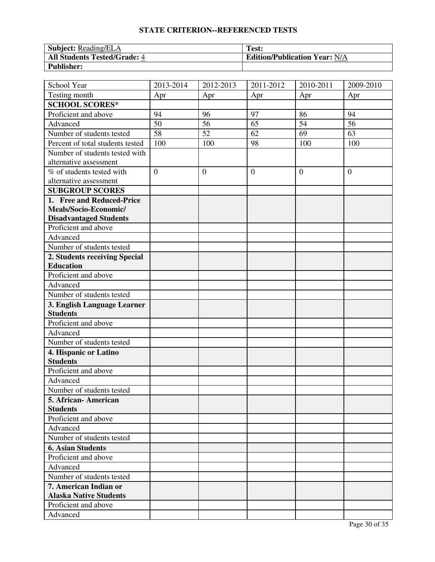| <b>Subject:</b> Reading/ELA         | Test:                                |
|-------------------------------------|--------------------------------------|
| <b>All Students Tested/Grade: 4</b> | <b>Edition/Publication Year: N/A</b> |
| <b>Publisher:</b>                   |                                      |

| School Year                      | 2013-2014      | 2012-2013      | 2011-2012      | 2010-2011 | 2009-2010    |
|----------------------------------|----------------|----------------|----------------|-----------|--------------|
| Testing month                    | Apr            | Apr            | Apr            | Apr       | Apr          |
| <b>SCHOOL SCORES*</b>            |                |                |                |           |              |
| Proficient and above             | 94             | 96             | 97             | 86        | 94           |
| Advanced                         | 50             | 56             | 65             | 54        | 56           |
| Number of students tested        | 58             | 52             | 62             | 69        | 63           |
| Percent of total students tested | 100            | 100            | 98             | 100       | 100          |
| Number of students tested with   |                |                |                |           |              |
| alternative assessment           |                |                |                |           |              |
| % of students tested with        | $\overline{0}$ | $\overline{0}$ | $\overline{0}$ | $\theta$  | $\mathbf{0}$ |
| alternative assessment           |                |                |                |           |              |
| <b>SUBGROUP SCORES</b>           |                |                |                |           |              |
| 1. Free and Reduced-Price        |                |                |                |           |              |
| Meals/Socio-Economic/            |                |                |                |           |              |
| <b>Disadvantaged Students</b>    |                |                |                |           |              |
| Proficient and above             |                |                |                |           |              |
| Advanced                         |                |                |                |           |              |
| Number of students tested        |                |                |                |           |              |
| 2. Students receiving Special    |                |                |                |           |              |
| <b>Education</b>                 |                |                |                |           |              |
| Proficient and above             |                |                |                |           |              |
| Advanced                         |                |                |                |           |              |
| Number of students tested        |                |                |                |           |              |
| 3. English Language Learner      |                |                |                |           |              |
| <b>Students</b>                  |                |                |                |           |              |
| Proficient and above             |                |                |                |           |              |
| Advanced                         |                |                |                |           |              |
| Number of students tested        |                |                |                |           |              |
| 4. Hispanic or Latino            |                |                |                |           |              |
| <b>Students</b>                  |                |                |                |           |              |
| Proficient and above             |                |                |                |           |              |
| Advanced                         |                |                |                |           |              |
| Number of students tested        |                |                |                |           |              |
| 5. African- American             |                |                |                |           |              |
| <b>Students</b>                  |                |                |                |           |              |
| Proficient and above             |                |                |                |           |              |
| Advanced                         |                |                |                |           |              |
| Number of students tested        |                |                |                |           |              |
| <b>6. Asian Students</b>         |                |                |                |           |              |
| Proficient and above             |                |                |                |           |              |
| Advanced                         |                |                |                |           |              |
| Number of students tested        |                |                |                |           |              |
| 7. American Indian or            |                |                |                |           |              |
| <b>Alaska Native Students</b>    |                |                |                |           |              |
| Proficient and above             |                |                |                |           |              |
| Advanced                         |                |                |                |           |              |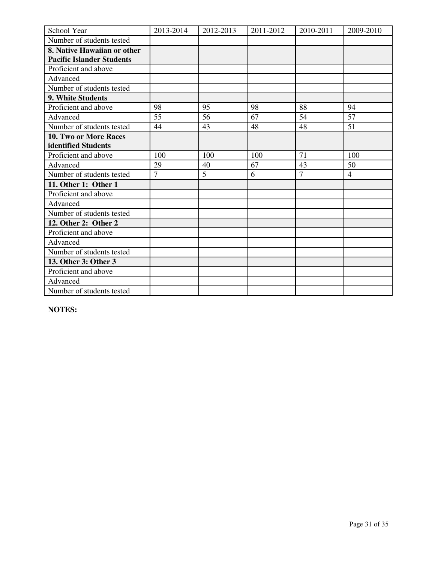| School Year                      | 2013-2014      | 2012-2013 | 2011-2012 | 2010-2011      | 2009-2010      |
|----------------------------------|----------------|-----------|-----------|----------------|----------------|
| Number of students tested        |                |           |           |                |                |
| 8. Native Hawaiian or other      |                |           |           |                |                |
| <b>Pacific Islander Students</b> |                |           |           |                |                |
| Proficient and above             |                |           |           |                |                |
| Advanced                         |                |           |           |                |                |
| Number of students tested        |                |           |           |                |                |
| 9. White Students                |                |           |           |                |                |
| Proficient and above             | 98             | 95        | 98        | 88             | 94             |
| Advanced                         | 55             | 56        | 67        | 54             | 57             |
| Number of students tested        | 44             | 43        | 48        | 48             | 51             |
| <b>10. Two or More Races</b>     |                |           |           |                |                |
| identified Students              |                |           |           |                |                |
| Proficient and above             | 100            | 100       | 100       | 71             | 100            |
| Advanced                         | 29             | 40        | 67        | 43             | 50             |
| Number of students tested        | $\overline{7}$ | 5         | 6         | $\overline{7}$ | $\overline{4}$ |
| 11. Other 1: Other 1             |                |           |           |                |                |
| Proficient and above             |                |           |           |                |                |
| Advanced                         |                |           |           |                |                |
| Number of students tested        |                |           |           |                |                |
| 12. Other 2: Other 2             |                |           |           |                |                |
| Proficient and above             |                |           |           |                |                |
| Advanced                         |                |           |           |                |                |
| Number of students tested        |                |           |           |                |                |
| 13. Other 3: Other 3             |                |           |           |                |                |
| Proficient and above             |                |           |           |                |                |
| Advanced                         |                |           |           |                |                |
| Number of students tested        |                |           |           |                |                |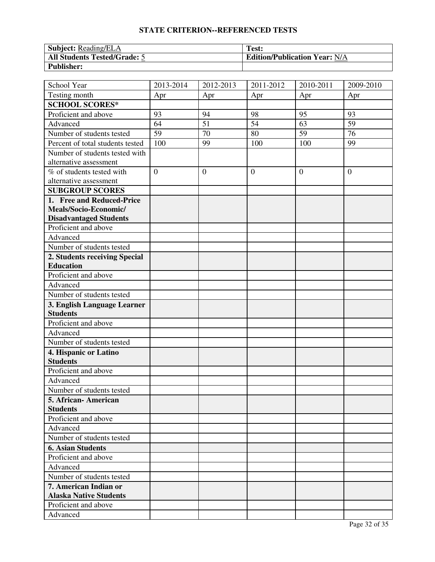| <b>Subject:</b> Reading/ELA         | Test:                                |
|-------------------------------------|--------------------------------------|
| <b>All Students Tested/Grade: 5</b> | <b>Edition/Publication Year: N/A</b> |
| <b>Publisher:</b>                   |                                      |

| School Year                      | 2013-2014      | 2012-2013      | $\overline{20}11 - 2012$ | 2010-2011 | 2009-2010    |
|----------------------------------|----------------|----------------|--------------------------|-----------|--------------|
| Testing month                    | Apr            | Apr            | Apr                      | Apr       | Apr          |
| <b>SCHOOL SCORES*</b>            |                |                |                          |           |              |
| Proficient and above             | 93             | 94             | 98                       | 95        | 93           |
| Advanced                         | 64             | 51             | 54                       | 63        | 59           |
| Number of students tested        | 59             | 70             | 80                       | 59        | 76           |
| Percent of total students tested | 100            | 99             | 100                      | 100       | 99           |
| Number of students tested with   |                |                |                          |           |              |
| alternative assessment           |                |                |                          |           |              |
| % of students tested with        | $\overline{0}$ | $\overline{0}$ | $\overline{0}$           | $\theta$  | $\mathbf{0}$ |
| alternative assessment           |                |                |                          |           |              |
| <b>SUBGROUP SCORES</b>           |                |                |                          |           |              |
| 1. Free and Reduced-Price        |                |                |                          |           |              |
| Meals/Socio-Economic/            |                |                |                          |           |              |
| <b>Disadvantaged Students</b>    |                |                |                          |           |              |
| Proficient and above             |                |                |                          |           |              |
| Advanced                         |                |                |                          |           |              |
| Number of students tested        |                |                |                          |           |              |
| 2. Students receiving Special    |                |                |                          |           |              |
| <b>Education</b>                 |                |                |                          |           |              |
| Proficient and above             |                |                |                          |           |              |
| Advanced                         |                |                |                          |           |              |
| Number of students tested        |                |                |                          |           |              |
| 3. English Language Learner      |                |                |                          |           |              |
| <b>Students</b>                  |                |                |                          |           |              |
| Proficient and above             |                |                |                          |           |              |
| Advanced                         |                |                |                          |           |              |
| Number of students tested        |                |                |                          |           |              |
| 4. Hispanic or Latino            |                |                |                          |           |              |
| <b>Students</b>                  |                |                |                          |           |              |
| Proficient and above             |                |                |                          |           |              |
| Advanced                         |                |                |                          |           |              |
| Number of students tested        |                |                |                          |           |              |
| 5. African- American             |                |                |                          |           |              |
| <b>Students</b>                  |                |                |                          |           |              |
| Proficient and above             |                |                |                          |           |              |
| Advanced                         |                |                |                          |           |              |
| Number of students tested        |                |                |                          |           |              |
| <b>6. Asian Students</b>         |                |                |                          |           |              |
| Proficient and above             |                |                |                          |           |              |
| Advanced                         |                |                |                          |           |              |
| Number of students tested        |                |                |                          |           |              |
| 7. American Indian or            |                |                |                          |           |              |
| <b>Alaska Native Students</b>    |                |                |                          |           |              |
| Proficient and above             |                |                |                          |           |              |
| Advanced                         |                |                |                          |           |              |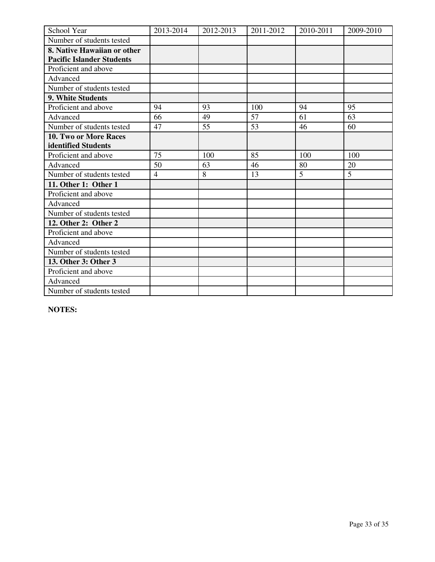| School Year                      | 2013-2014      | 2012-2013 | 2011-2012 | 2010-2011 | 2009-2010 |
|----------------------------------|----------------|-----------|-----------|-----------|-----------|
| Number of students tested        |                |           |           |           |           |
| 8. Native Hawaiian or other      |                |           |           |           |           |
| <b>Pacific Islander Students</b> |                |           |           |           |           |
| Proficient and above             |                |           |           |           |           |
| Advanced                         |                |           |           |           |           |
| Number of students tested        |                |           |           |           |           |
| 9. White Students                |                |           |           |           |           |
| Proficient and above             | 94             | 93        | 100       | 94        | 95        |
| Advanced                         | 66             | 49        | 57        | 61        | 63        |
| Number of students tested        | 47             | 55        | 53        | 46        | 60        |
| <b>10. Two or More Races</b>     |                |           |           |           |           |
| identified Students              |                |           |           |           |           |
| Proficient and above             | 75             | 100       | 85        | 100       | 100       |
| Advanced                         | 50             | 63        | 46        | 80        | 20        |
| Number of students tested        | $\overline{4}$ | 8         | 13        | 5         | 5         |
| 11. Other 1: Other 1             |                |           |           |           |           |
| Proficient and above             |                |           |           |           |           |
| Advanced                         |                |           |           |           |           |
| Number of students tested        |                |           |           |           |           |
| 12. Other 2: Other 2             |                |           |           |           |           |
| Proficient and above             |                |           |           |           |           |
| Advanced                         |                |           |           |           |           |
| Number of students tested        |                |           |           |           |           |
| 13. Other 3: Other 3             |                |           |           |           |           |
| Proficient and above             |                |           |           |           |           |
| Advanced                         |                |           |           |           |           |
| Number of students tested        |                |           |           |           |           |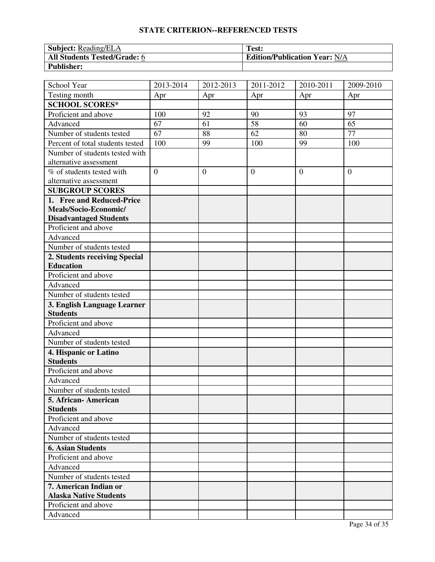| <b>Subject: Reading/ELA</b>         | Test:                                |
|-------------------------------------|--------------------------------------|
| <b>All Students Tested/Grade: 6</b> | <b>Edition/Publication Year: N/A</b> |
| <b>Publisher:</b>                   |                                      |

| School Year                      | 2013-2014      | 2012-2013      | 2011-2012      | 2010-2011 | 2009-2010      |
|----------------------------------|----------------|----------------|----------------|-----------|----------------|
| Testing month                    | Apr            | Apr            | Apr            | Apr       | Apr            |
| <b>SCHOOL SCORES*</b>            |                |                |                |           |                |
| Proficient and above             | 100            | 92             | 90             | 93        | 97             |
| Advanced                         | 67             | 61             | 58             | 60        | 65             |
| Number of students tested        | 67             | 88             | 62             | 80        | 77             |
| Percent of total students tested | 100            | 99             | 100            | 99        | 100            |
| Number of students tested with   |                |                |                |           |                |
| alternative assessment           |                |                |                |           |                |
| % of students tested with        | $\overline{0}$ | $\overline{0}$ | $\overline{0}$ | $\theta$  | $\overline{0}$ |
| alternative assessment           |                |                |                |           |                |
| <b>SUBGROUP SCORES</b>           |                |                |                |           |                |
| 1. Free and Reduced-Price        |                |                |                |           |                |
| Meals/Socio-Economic/            |                |                |                |           |                |
| <b>Disadvantaged Students</b>    |                |                |                |           |                |
| Proficient and above             |                |                |                |           |                |
| Advanced                         |                |                |                |           |                |
| Number of students tested        |                |                |                |           |                |
| 2. Students receiving Special    |                |                |                |           |                |
| <b>Education</b>                 |                |                |                |           |                |
| Proficient and above             |                |                |                |           |                |
| Advanced                         |                |                |                |           |                |
| Number of students tested        |                |                |                |           |                |
| 3. English Language Learner      |                |                |                |           |                |
| <b>Students</b>                  |                |                |                |           |                |
| Proficient and above             |                |                |                |           |                |
| Advanced                         |                |                |                |           |                |
| Number of students tested        |                |                |                |           |                |
| 4. Hispanic or Latino            |                |                |                |           |                |
| <b>Students</b>                  |                |                |                |           |                |
| Proficient and above             |                |                |                |           |                |
| Advanced                         |                |                |                |           |                |
| Number of students tested        |                |                |                |           |                |
| 5. African - American            |                |                |                |           |                |
| <b>Students</b>                  |                |                |                |           |                |
| Proficient and above             |                |                |                |           |                |
| Advanced                         |                |                |                |           |                |
| Number of students tested        |                |                |                |           |                |
| <b>6. Asian Students</b>         |                |                |                |           |                |
| Proficient and above             |                |                |                |           |                |
| Advanced                         |                |                |                |           |                |
| Number of students tested        |                |                |                |           |                |
| 7. American Indian or            |                |                |                |           |                |
| <b>Alaska Native Students</b>    |                |                |                |           |                |
| Proficient and above             |                |                |                |           |                |
| Advanced                         |                |                |                |           |                |